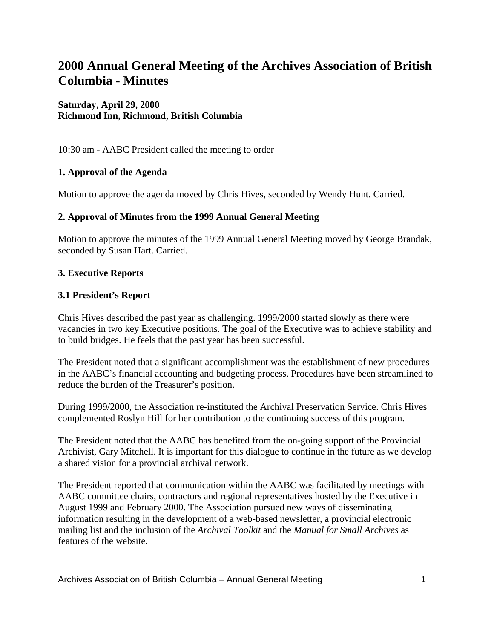# **2000 Annual General Meeting of the Archives Association of British Columbia - Minutes**

# **Saturday, April 29, 2000 Richmond Inn, Richmond, British Columbia**

10:30 am - AABC President called the meeting to order

# **1. Approval of the Agenda**

Motion to approve the agenda moved by Chris Hives, seconded by Wendy Hunt. Carried.

#### **2. Approval of Minutes from the 1999 Annual General Meeting**

Motion to approve the minutes of the 1999 Annual General Meeting moved by George Brandak, seconded by Susan Hart. Carried.

#### **3. Executive Reports**

#### **3.1 President's Report**

Chris Hives described the past year as challenging. 1999/2000 started slowly as there were vacancies in two key Executive positions. The goal of the Executive was to achieve stability and to build bridges. He feels that the past year has been successful.

The President noted that a significant accomplishment was the establishment of new procedures in the AABC's financial accounting and budgeting process. Procedures have been streamlined to reduce the burden of the Treasurer's position.

During 1999/2000, the Association re-instituted the Archival Preservation Service. Chris Hives complemented Roslyn Hill for her contribution to the continuing success of this program.

The President noted that the AABC has benefited from the on-going support of the Provincial Archivist, Gary Mitchell. It is important for this dialogue to continue in the future as we develop a shared vision for a provincial archival network.

The President reported that communication within the AABC was facilitated by meetings with AABC committee chairs, contractors and regional representatives hosted by the Executive in August 1999 and February 2000. The Association pursued new ways of disseminating information resulting in the development of a web-based newsletter, a provincial electronic mailing list and the inclusion of the *Archival Toolkit* and the *Manual for Small Archives* as features of the website.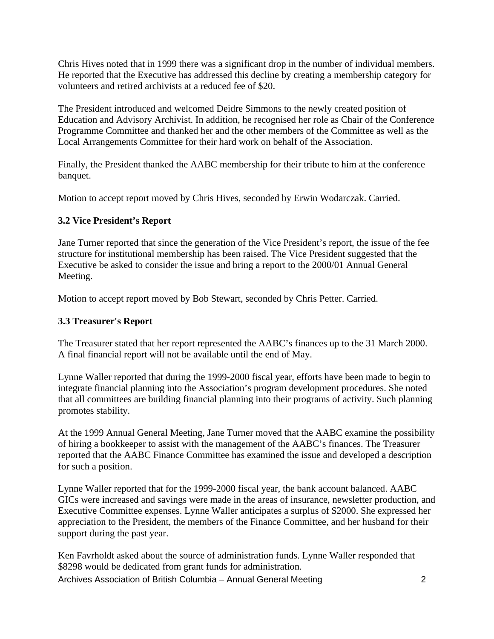Chris Hives noted that in 1999 there was a significant drop in the number of individual members. He reported that the Executive has addressed this decline by creating a membership category for volunteers and retired archivists at a reduced fee of \$20.

The President introduced and welcomed Deidre Simmons to the newly created position of Education and Advisory Archivist. In addition, he recognised her role as Chair of the Conference Programme Committee and thanked her and the other members of the Committee as well as the Local Arrangements Committee for their hard work on behalf of the Association.

Finally, the President thanked the AABC membership for their tribute to him at the conference banquet.

Motion to accept report moved by Chris Hives, seconded by Erwin Wodarczak. Carried.

# **3.2 Vice President's Report**

Jane Turner reported that since the generation of the Vice President's report, the issue of the fee structure for institutional membership has been raised. The Vice President suggested that the Executive be asked to consider the issue and bring a report to the 2000/01 Annual General Meeting.

Motion to accept report moved by Bob Stewart, seconded by Chris Petter. Carried.

#### **3.3 Treasurer's Report**

The Treasurer stated that her report represented the AABC's finances up to the 31 March 2000. A final financial report will not be available until the end of May.

Lynne Waller reported that during the 1999-2000 fiscal year, efforts have been made to begin to integrate financial planning into the Association's program development procedures. She noted that all committees are building financial planning into their programs of activity. Such planning promotes stability.

At the 1999 Annual General Meeting, Jane Turner moved that the AABC examine the possibility of hiring a bookkeeper to assist with the management of the AABC's finances. The Treasurer reported that the AABC Finance Committee has examined the issue and developed a description for such a position.

Lynne Waller reported that for the 1999-2000 fiscal year, the bank account balanced. AABC GICs were increased and savings were made in the areas of insurance, newsletter production, and Executive Committee expenses. Lynne Waller anticipates a surplus of \$2000. She expressed her appreciation to the President, the members of the Finance Committee, and her husband for their support during the past year.

Archives Association of British Columbia – Annual General Meeting 2 Ken Favrholdt asked about the source of administration funds. Lynne Waller responded that \$8298 would be dedicated from grant funds for administration.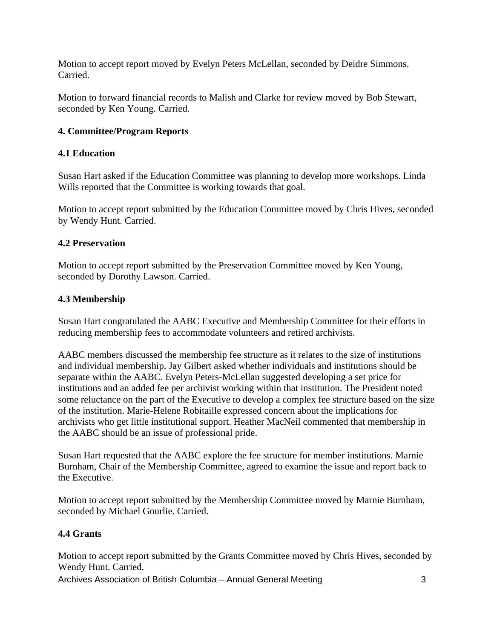Motion to accept report moved by Evelyn Peters McLellan, seconded by Deidre Simmons. Carried.

Motion to forward financial records to Malish and Clarke for review moved by Bob Stewart, seconded by Ken Young. Carried.

# **4. Committee/Program Reports**

# **4.1 Education**

Susan Hart asked if the Education Committee was planning to develop more workshops. Linda Wills reported that the Committee is working towards that goal.

Motion to accept report submitted by the Education Committee moved by Chris Hives, seconded by Wendy Hunt. Carried.

#### **4.2 Preservation**

Motion to accept report submitted by the Preservation Committee moved by Ken Young, seconded by Dorothy Lawson. Carried.

# **4.3 Membership**

Susan Hart congratulated the AABC Executive and Membership Committee for their efforts in reducing membership fees to accommodate volunteers and retired archivists.

AABC members discussed the membership fee structure as it relates to the size of institutions and individual membership. Jay Gilbert asked whether individuals and institutions should be separate within the AABC. Evelyn Peters-McLellan suggested developing a set price for institutions and an added fee per archivist working within that institution. The President noted some reluctance on the part of the Executive to develop a complex fee structure based on the size of the institution. Marie-Helene Robitaille expressed concern about the implications for archivists who get little institutional support. Heather MacNeil commented that membership in the AABC should be an issue of professional pride.

Susan Hart requested that the AABC explore the fee structure for member institutions. Marnie Burnham, Chair of the Membership Committee, agreed to examine the issue and report back to the Executive.

Motion to accept report submitted by the Membership Committee moved by Marnie Burnham, seconded by Michael Gourlie. Carried.

# **4.4 Grants**

Motion to accept report submitted by the Grants Committee moved by Chris Hives, seconded by Wendy Hunt. Carried.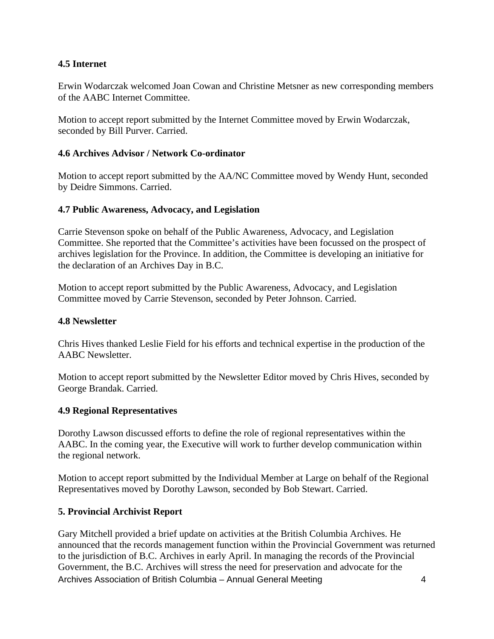# **4.5 Internet**

Erwin Wodarczak welcomed Joan Cowan and Christine Metsner as new corresponding members of the AABC Internet Committee.

Motion to accept report submitted by the Internet Committee moved by Erwin Wodarczak, seconded by Bill Purver. Carried.

#### **4.6 Archives Advisor / Network Co-ordinator**

Motion to accept report submitted by the AA/NC Committee moved by Wendy Hunt, seconded by Deidre Simmons. Carried.

#### **4.7 Public Awareness, Advocacy, and Legislation**

Carrie Stevenson spoke on behalf of the Public Awareness, Advocacy, and Legislation Committee. She reported that the Committee's activities have been focussed on the prospect of archives legislation for the Province. In addition, the Committee is developing an initiative for the declaration of an Archives Day in B.C.

Motion to accept report submitted by the Public Awareness, Advocacy, and Legislation Committee moved by Carrie Stevenson, seconded by Peter Johnson. Carried.

#### **4.8 Newsletter**

Chris Hives thanked Leslie Field for his efforts and technical expertise in the production of the AABC Newsletter.

Motion to accept report submitted by the Newsletter Editor moved by Chris Hives, seconded by George Brandak. Carried.

# **4.9 Regional Representatives**

Dorothy Lawson discussed efforts to define the role of regional representatives within the AABC. In the coming year, the Executive will work to further develop communication within the regional network.

Motion to accept report submitted by the Individual Member at Large on behalf of the Regional Representatives moved by Dorothy Lawson, seconded by Bob Stewart. Carried.

#### **5. Provincial Archivist Report**

Archives Association of British Columbia – Annual General Meeting 4 Gary Mitchell provided a brief update on activities at the British Columbia Archives. He announced that the records management function within the Provincial Government was returned to the jurisdiction of B.C. Archives in early April. In managing the records of the Provincial Government, the B.C. Archives will stress the need for preservation and advocate for the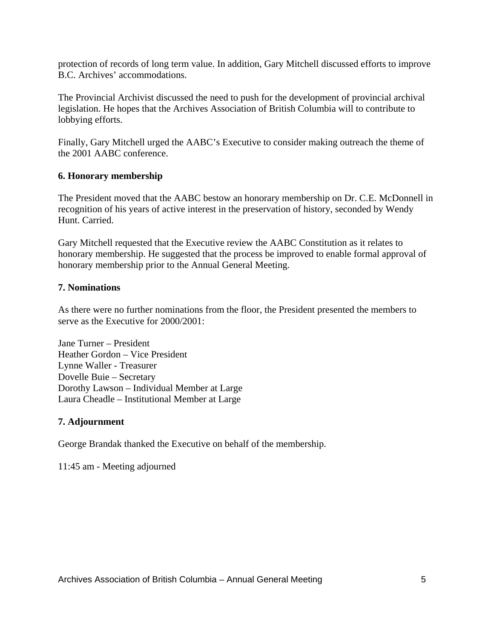protection of records of long term value. In addition, Gary Mitchell discussed efforts to improve B.C. Archives' accommodations.

The Provincial Archivist discussed the need to push for the development of provincial archival legislation. He hopes that the Archives Association of British Columbia will to contribute to lobbying efforts.

Finally, Gary Mitchell urged the AABC's Executive to consider making outreach the theme of the 2001 AABC conference.

#### **6. Honorary membership**

The President moved that the AABC bestow an honorary membership on Dr. C.E. McDonnell in recognition of his years of active interest in the preservation of history, seconded by Wendy Hunt. Carried.

Gary Mitchell requested that the Executive review the AABC Constitution as it relates to honorary membership. He suggested that the process be improved to enable formal approval of honorary membership prior to the Annual General Meeting.

#### **7. Nominations**

As there were no further nominations from the floor, the President presented the members to serve as the Executive for 2000/2001:

Jane Turner – President Heather Gordon – Vice President Lynne Waller - Treasurer Dovelle Buie – Secretary Dorothy Lawson – Individual Member at Large Laura Cheadle – Institutional Member at Large

# **7. Adjournment**

George Brandak thanked the Executive on behalf of the membership.

11:45 am - Meeting adjourned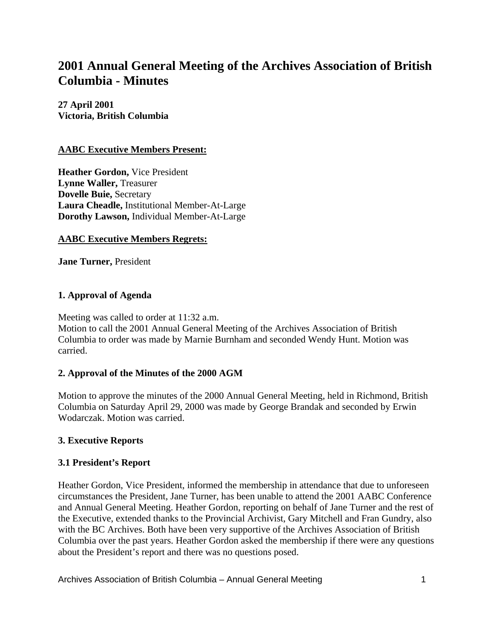# **2001 Annual General Meeting of the Archives Association of British Columbia - Minutes**

**27 April 2001 Victoria, British Columbia**

#### **AABC Executive Members Present:**

**Heather Gordon,** Vice President **Lynne Waller,** Treasurer **Dovelle Buie,** Secretary **Laura Cheadle,** Institutional Member-At-Large **Dorothy Lawson,** Individual Member-At-Large

#### **AABC Executive Members Regrets:**

**Jane Turner,** President

#### **1. Approval of Agenda**

Meeting was called to order at 11:32 a.m. Motion to call the 2001 Annual General Meeting of the Archives Association of British Columbia to order was made by Marnie Burnham and seconded Wendy Hunt. Motion was carried.

#### **2. Approval of the Minutes of the 2000 AGM**

Motion to approve the minutes of the 2000 Annual General Meeting, held in Richmond, British Columbia on Saturday April 29, 2000 was made by George Brandak and seconded by Erwin Wodarczak. Motion was carried.

#### **3. Executive Reports**

#### **3.1 President's Report**

Heather Gordon, Vice President, informed the membership in attendance that due to unforeseen circumstances the President, Jane Turner, has been unable to attend the 2001 AABC Conference and Annual General Meeting. Heather Gordon, reporting on behalf of Jane Turner and the rest of the Executive, extended thanks to the Provincial Archivist, Gary Mitchell and Fran Gundry, also with the BC Archives. Both have been very supportive of the Archives Association of British Columbia over the past years. Heather Gordon asked the membership if there were any questions about the President's report and there was no questions posed.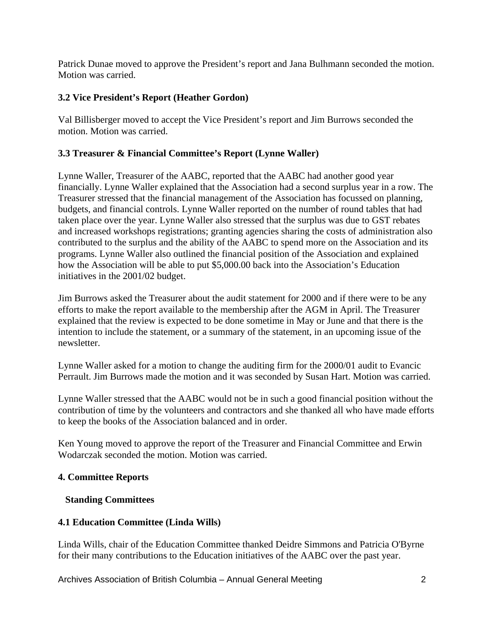Patrick Dunae moved to approve the President's report and Jana Bulhmann seconded the motion. Motion was carried.

# **3.2 Vice President's Report (Heather Gordon)**

Val Billisberger moved to accept the Vice President's report and Jim Burrows seconded the motion. Motion was carried.

# **3.3 Treasurer & Financial Committee's Report (Lynne Waller)**

Lynne Waller, Treasurer of the AABC, reported that the AABC had another good year financially. Lynne Waller explained that the Association had a second surplus year in a row. The Treasurer stressed that the financial management of the Association has focussed on planning, budgets, and financial controls. Lynne Waller reported on the number of round tables that had taken place over the year. Lynne Waller also stressed that the surplus was due to GST rebates and increased workshops registrations; granting agencies sharing the costs of administration also contributed to the surplus and the ability of the AABC to spend more on the Association and its programs. Lynne Waller also outlined the financial position of the Association and explained how the Association will be able to put \$5,000.00 back into the Association's Education initiatives in the 2001/02 budget.

Jim Burrows asked the Treasurer about the audit statement for 2000 and if there were to be any efforts to make the report available to the membership after the AGM in April. The Treasurer explained that the review is expected to be done sometime in May or June and that there is the intention to include the statement, or a summary of the statement, in an upcoming issue of the newsletter.

Lynne Waller asked for a motion to change the auditing firm for the 2000/01 audit to Evancic Perrault. Jim Burrows made the motion and it was seconded by Susan Hart. Motion was carried.

Lynne Waller stressed that the AABC would not be in such a good financial position without the contribution of time by the volunteers and contractors and she thanked all who have made efforts to keep the books of the Association balanced and in order.

Ken Young moved to approve the report of the Treasurer and Financial Committee and Erwin Wodarczak seconded the motion. Motion was carried.

# **4. Committee Reports**

# **Standing Committees**

# **4.1 Education Committee (Linda Wills)**

Linda Wills, chair of the Education Committee thanked Deidre Simmons and Patricia O'Byrne for their many contributions to the Education initiatives of the AABC over the past year.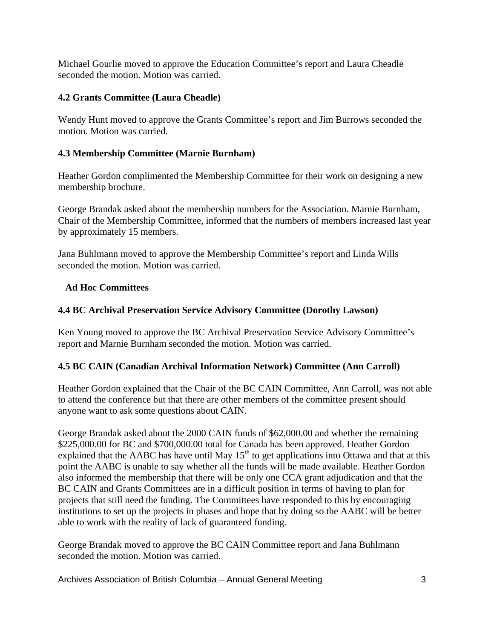Michael Gourlie moved to approve the Education Committee's report and Laura Cheadle seconded the motion. Motion was carried.

# **4.2 Grants Committee (Laura Cheadle)**

Wendy Hunt moved to approve the Grants Committee's report and Jim Burrows seconded the motion. Motion was carried.

# **4.3 Membership Committee (Marnie Burnham)**

Heather Gordon complimented the Membership Committee for their work on designing a new membership brochure.

George Brandak asked about the membership numbers for the Association. Marnie Burnham, Chair of the Membership Committee, informed that the numbers of members increased last year by approximately 15 members.

Jana Buhlmann moved to approve the Membership Committee's report and Linda Wills seconded the motion. Motion was carried.

# **Ad Hoc Committees**

# **4.4 BC Archival Preservation Service Advisory Committee (Dorothy Lawson)**

Ken Young moved to approve the BC Archival Preservation Service Advisory Committee's report and Marnie Burnham seconded the motion. Motion was carried.

# **4.5 BC CAIN (Canadian Archival Information Network) Committee (Ann Carroll)**

Heather Gordon explained that the Chair of the BC CAIN Committee, Ann Carroll, was not able to attend the conference but that there are other members of the committee present should anyone want to ask some questions about CAIN.

George Brandak asked about the 2000 CAIN funds of \$62,000.00 and whether the remaining \$225,000.00 for BC and \$700,000.00 total for Canada has been approved. Heather Gordon explained that the AABC has have until May  $15<sup>th</sup>$  to get applications into Ottawa and that at this point the AABC is unable to say whether all the funds will be made available. Heather Gordon also informed the membership that there will be only one CCA grant adjudication and that the BC CAIN and Grants Committees are in a difficult position in terms of having to plan for projects that still need the funding. The Committees have responded to this by encouraging institutions to set up the projects in phases and hope that by doing so the AABC will be better able to work with the reality of lack of guaranteed funding.

George Brandak moved to approve the BC CAIN Committee report and Jana Buhlmann seconded the motion. Motion was carried.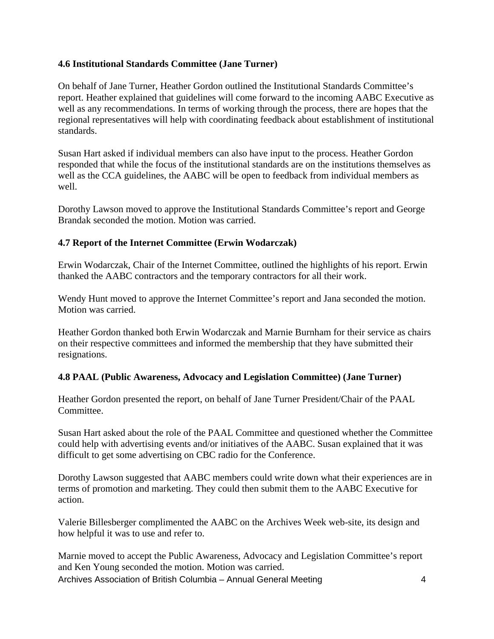# **4.6 Institutional Standards Committee (Jane Turner)**

On behalf of Jane Turner, Heather Gordon outlined the Institutional Standards Committee's report. Heather explained that guidelines will come forward to the incoming AABC Executive as well as any recommendations. In terms of working through the process, there are hopes that the regional representatives will help with coordinating feedback about establishment of institutional standards.

Susan Hart asked if individual members can also have input to the process. Heather Gordon responded that while the focus of the institutional standards are on the institutions themselves as well as the CCA guidelines, the AABC will be open to feedback from individual members as well.

Dorothy Lawson moved to approve the Institutional Standards Committee's report and George Brandak seconded the motion. Motion was carried.

# **4.7 Report of the Internet Committee (Erwin Wodarczak)**

Erwin Wodarczak, Chair of the Internet Committee, outlined the highlights of his report. Erwin thanked the AABC contractors and the temporary contractors for all their work.

Wendy Hunt moved to approve the Internet Committee's report and Jana seconded the motion. Motion was carried.

Heather Gordon thanked both Erwin Wodarczak and Marnie Burnham for their service as chairs on their respective committees and informed the membership that they have submitted their resignations.

# **4.8 PAAL (Public Awareness, Advocacy and Legislation Committee) (Jane Turner)**

Heather Gordon presented the report, on behalf of Jane Turner President/Chair of the PAAL Committee.

Susan Hart asked about the role of the PAAL Committee and questioned whether the Committee could help with advertising events and/or initiatives of the AABC. Susan explained that it was difficult to get some advertising on CBC radio for the Conference.

Dorothy Lawson suggested that AABC members could write down what their experiences are in terms of promotion and marketing. They could then submit them to the AABC Executive for action.

Valerie Billesberger complimented the AABC on the Archives Week web-site, its design and how helpful it was to use and refer to.

Marnie moved to accept the Public Awareness, Advocacy and Legislation Committee's report and Ken Young seconded the motion. Motion was carried.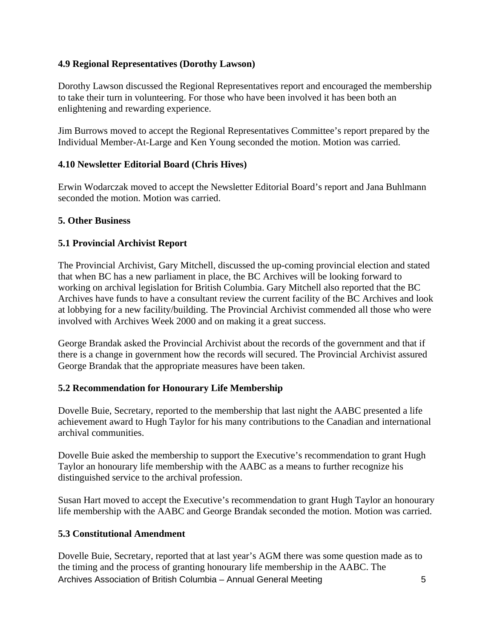# **4.9 Regional Representatives (Dorothy Lawson)**

Dorothy Lawson discussed the Regional Representatives report and encouraged the membership to take their turn in volunteering. For those who have been involved it has been both an enlightening and rewarding experience.

Jim Burrows moved to accept the Regional Representatives Committee's report prepared by the Individual Member-At-Large and Ken Young seconded the motion. Motion was carried.

# **4.10 Newsletter Editorial Board (Chris Hives)**

Erwin Wodarczak moved to accept the Newsletter Editorial Board's report and Jana Buhlmann seconded the motion. Motion was carried.

# **5. Other Business**

# **5.1 Provincial Archivist Report**

The Provincial Archivist, Gary Mitchell, discussed the up-coming provincial election and stated that when BC has a new parliament in place, the BC Archives will be looking forward to working on archival legislation for British Columbia. Gary Mitchell also reported that the BC Archives have funds to have a consultant review the current facility of the BC Archives and look at lobbying for a new facility/building. The Provincial Archivist commended all those who were involved with Archives Week 2000 and on making it a great success.

George Brandak asked the Provincial Archivist about the records of the government and that if there is a change in government how the records will secured. The Provincial Archivist assured George Brandak that the appropriate measures have been taken.

# **5.2 Recommendation for Honourary Life Membership**

Dovelle Buie, Secretary, reported to the membership that last night the AABC presented a life achievement award to Hugh Taylor for his many contributions to the Canadian and international archival communities.

Dovelle Buie asked the membership to support the Executive's recommendation to grant Hugh Taylor an honourary life membership with the AABC as a means to further recognize his distinguished service to the archival profession.

Susan Hart moved to accept the Executive's recommendation to grant Hugh Taylor an honourary life membership with the AABC and George Brandak seconded the motion. Motion was carried.

# **5.3 Constitutional Amendment**

Archives Association of British Columbia – Annual General Meeting 5 Dovelle Buie, Secretary, reported that at last year's AGM there was some question made as to the timing and the process of granting honourary life membership in the AABC. The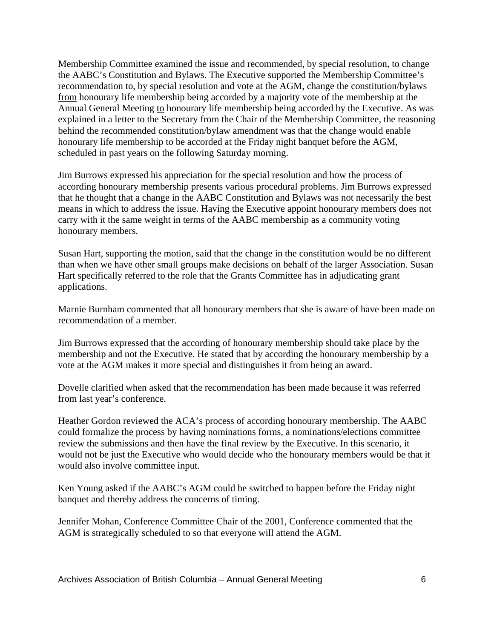Membership Committee examined the issue and recommended, by special resolution, to change the AABC's Constitution and Bylaws. The Executive supported the Membership Committee's recommendation to, by special resolution and vote at the AGM, change the constitution/bylaws from honourary life membership being accorded by a majority vote of the membership at the Annual General Meeting to honourary life membership being accorded by the Executive. As was explained in a letter to the Secretary from the Chair of the Membership Committee, the reasoning behind the recommended constitution/bylaw amendment was that the change would enable honourary life membership to be accorded at the Friday night banquet before the AGM, scheduled in past years on the following Saturday morning.

Jim Burrows expressed his appreciation for the special resolution and how the process of according honourary membership presents various procedural problems. Jim Burrows expressed that he thought that a change in the AABC Constitution and Bylaws was not necessarily the best means in which to address the issue. Having the Executive appoint honourary members does not carry with it the same weight in terms of the AABC membership as a community voting honourary members.

Susan Hart, supporting the motion, said that the change in the constitution would be no different than when we have other small groups make decisions on behalf of the larger Association. Susan Hart specifically referred to the role that the Grants Committee has in adjudicating grant applications.

Marnie Burnham commented that all honourary members that she is aware of have been made on recommendation of a member.

Jim Burrows expressed that the according of honourary membership should take place by the membership and not the Executive. He stated that by according the honourary membership by a vote at the AGM makes it more special and distinguishes it from being an award.

Dovelle clarified when asked that the recommendation has been made because it was referred from last year's conference.

Heather Gordon reviewed the ACA's process of according honourary membership. The AABC could formalize the process by having nominations forms, a nominations/elections committee review the submissions and then have the final review by the Executive. In this scenario, it would not be just the Executive who would decide who the honourary members would be that it would also involve committee input.

Ken Young asked if the AABC's AGM could be switched to happen before the Friday night banquet and thereby address the concerns of timing.

Jennifer Mohan, Conference Committee Chair of the 2001, Conference commented that the AGM is strategically scheduled to so that everyone will attend the AGM.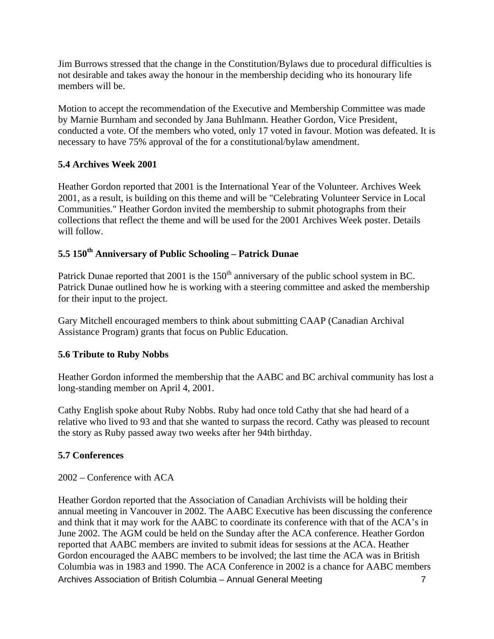Jim Burrows stressed that the change in the Constitution/Bylaws due to procedural difficulties is not desirable and takes away the honour in the membership deciding who its honourary life members will be.

Motion to accept the recommendation of the Executive and Membership Committee was made by Marnie Burnham and seconded by Jana Buhlmann. Heather Gordon, Vice President, conducted a vote. Of the members who voted, only 17 voted in favour. Motion was defeated. It is necessary to have 75% approval of the for a constitutional/bylaw amendment.

# **5.4 Archives Week 2001**

Heather Gordon reported that 2001 is the International Year of the Volunteer. Archives Week 2001, as a result, is building on this theme and will be "Celebrating Volunteer Service in Local Communities." Heather Gordon invited the membership to submit photographs from their collections that reflect the theme and will be used for the 2001 Archives Week poster. Details will follow.

# **5.5 150th Anniversary of Public Schooling – Patrick Dunae**

Patrick Dunae reported that 2001 is the 150<sup>th</sup> anniversary of the public school system in BC. Patrick Dunae outlined how he is working with a steering committee and asked the membership for their input to the project.

Gary Mitchell encouraged members to think about submitting CAAP (Canadian Archival Assistance Program) grants that focus on Public Education.

# **5.6 Tribute to Ruby Nobbs**

Heather Gordon informed the membership that the AABC and BC archival community has lost a long-standing member on April 4, 2001.

Cathy English spoke about Ruby Nobbs. Ruby had once told Cathy that she had heard of a relative who lived to 93 and that she wanted to surpass the record. Cathy was pleased to recount the story as Ruby passed away two weeks after her 94th birthday.

# **5.7 Conferences**

2002 – Conference with ACA

Archives Association of British Columbia – Annual General Meeting 7 Heather Gordon reported that the Association of Canadian Archivists will be holding their annual meeting in Vancouver in 2002. The AABC Executive has been discussing the conference and think that it may work for the AABC to coordinate its conference with that of the ACA's in June 2002. The AGM could be held on the Sunday after the ACA conference. Heather Gordon reported that AABC members are invited to submit ideas for sessions at the ACA. Heather Gordon encouraged the AABC members to be involved; the last time the ACA was in British Columbia was in 1983 and 1990. The ACA Conference in 2002 is a chance for AABC members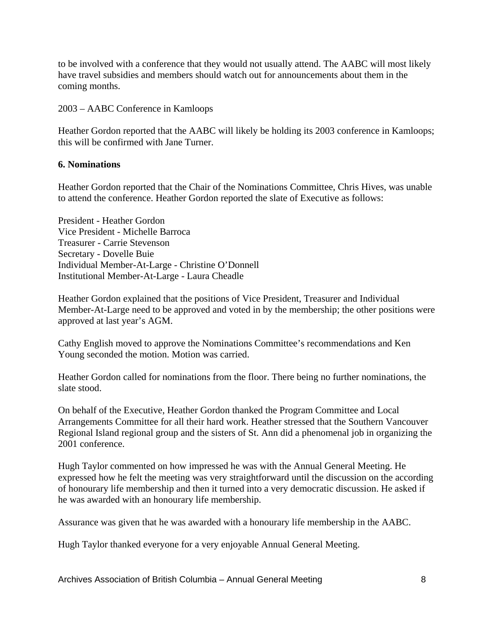to be involved with a conference that they would not usually attend. The AABC will most likely have travel subsidies and members should watch out for announcements about them in the coming months.

2003 – AABC Conference in Kamloops

Heather Gordon reported that the AABC will likely be holding its 2003 conference in Kamloops; this will be confirmed with Jane Turner.

#### **6. Nominations**

Heather Gordon reported that the Chair of the Nominations Committee, Chris Hives, was unable to attend the conference. Heather Gordon reported the slate of Executive as follows:

President - Heather Gordon Vice President - Michelle Barroca Treasurer - Carrie Stevenson Secretary - Dovelle Buie Individual Member-At-Large - Christine O'Donnell Institutional Member-At-Large - Laura Cheadle

Heather Gordon explained that the positions of Vice President, Treasurer and Individual Member-At-Large need to be approved and voted in by the membership; the other positions were approved at last year's AGM.

Cathy English moved to approve the Nominations Committee's recommendations and Ken Young seconded the motion. Motion was carried.

Heather Gordon called for nominations from the floor. There being no further nominations, the slate stood.

On behalf of the Executive, Heather Gordon thanked the Program Committee and Local Arrangements Committee for all their hard work. Heather stressed that the Southern Vancouver Regional Island regional group and the sisters of St. Ann did a phenomenal job in organizing the 2001 conference.

Hugh Taylor commented on how impressed he was with the Annual General Meeting. He expressed how he felt the meeting was very straightforward until the discussion on the according of honourary life membership and then it turned into a very democratic discussion. He asked if he was awarded with an honourary life membership.

Assurance was given that he was awarded with a honourary life membership in the AABC.

Hugh Taylor thanked everyone for a very enjoyable Annual General Meeting.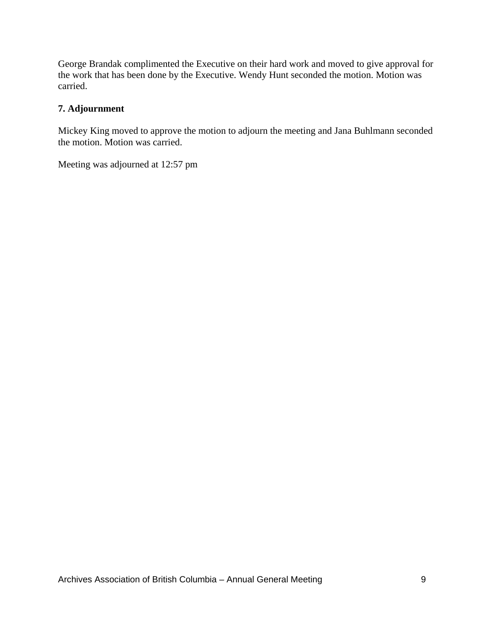George Brandak complimented the Executive on their hard work and moved to give approval for the work that has been done by the Executive. Wendy Hunt seconded the motion. Motion was carried.

#### **7. Adjournment**

Mickey King moved to approve the motion to adjourn the meeting and Jana Buhlmann seconded the motion. Motion was carried.

Meeting was adjourned at 12:57 pm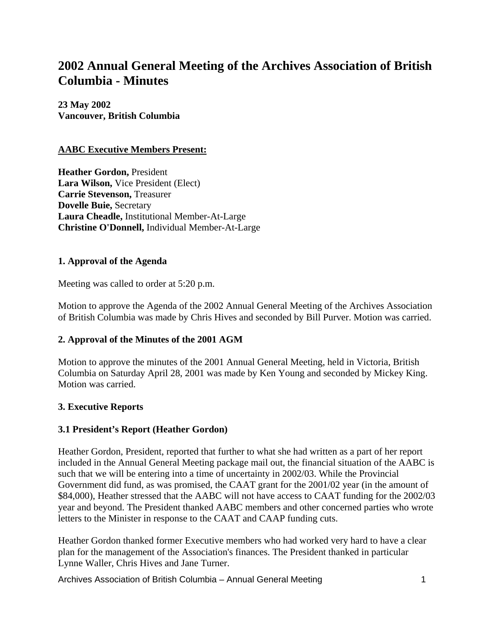# **2002 Annual General Meeting of the Archives Association of British Columbia - Minutes**

**23 May 2002 Vancouver, British Columbia**

#### **AABC Executive Members Present:**

**Heather Gordon,** President **Lara Wilson,** Vice President (Elect) **Carrie Stevenson,** Treasurer **Dovelle Buie,** Secretary **Laura Cheadle,** Institutional Member-At-Large **Christine O'Donnell,** Individual Member-At-Large

#### **1. Approval of the Agenda**

Meeting was called to order at 5:20 p.m.

Motion to approve the Agenda of the 2002 Annual General Meeting of the Archives Association of British Columbia was made by Chris Hives and seconded by Bill Purver. Motion was carried.

# **2. Approval of the Minutes of the 2001 AGM**

Motion to approve the minutes of the 2001 Annual General Meeting, held in Victoria, British Columbia on Saturday April 28, 2001 was made by Ken Young and seconded by Mickey King. Motion was carried.

#### **3. Executive Reports**

# **3.1 President's Report (Heather Gordon)**

Heather Gordon, President, reported that further to what she had written as a part of her report included in the Annual General Meeting package mail out, the financial situation of the AABC is such that we will be entering into a time of uncertainty in 2002/03. While the Provincial Government did fund, as was promised, the CAAT grant for the 2001/02 year (in the amount of \$84,000), Heather stressed that the AABC will not have access to CAAT funding for the 2002/03 year and beyond. The President thanked AABC members and other concerned parties who wrote letters to the Minister in response to the CAAT and CAAP funding cuts.

Heather Gordon thanked former Executive members who had worked very hard to have a clear plan for the management of the Association's finances. The President thanked in particular Lynne Waller, Chris Hives and Jane Turner.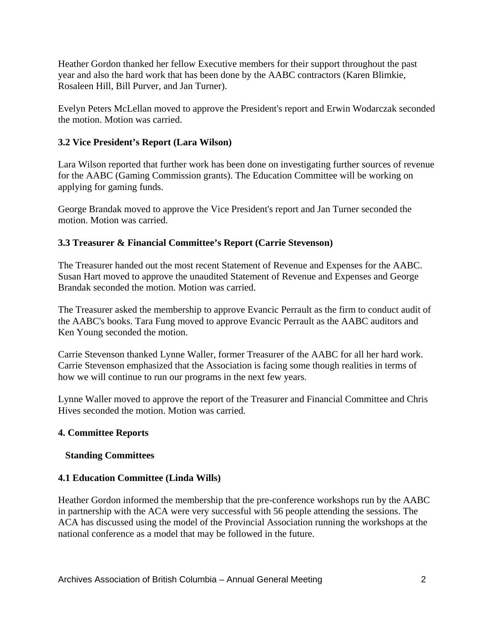Heather Gordon thanked her fellow Executive members for their support throughout the past year and also the hard work that has been done by the AABC contractors (Karen Blimkie, Rosaleen Hill, Bill Purver, and Jan Turner).

Evelyn Peters McLellan moved to approve the President's report and Erwin Wodarczak seconded the motion. Motion was carried.

# **3.2 Vice President's Report (Lara Wilson)**

Lara Wilson reported that further work has been done on investigating further sources of revenue for the AABC (Gaming Commission grants). The Education Committee will be working on applying for gaming funds.

George Brandak moved to approve the Vice President's report and Jan Turner seconded the motion. Motion was carried.

# **3.3 Treasurer & Financial Committee's Report (Carrie Stevenson)**

The Treasurer handed out the most recent Statement of Revenue and Expenses for the AABC. Susan Hart moved to approve the unaudited Statement of Revenue and Expenses and George Brandak seconded the motion. Motion was carried.

The Treasurer asked the membership to approve Evancic Perrault as the firm to conduct audit of the AABC's books. Tara Fung moved to approve Evancic Perrault as the AABC auditors and Ken Young seconded the motion.

Carrie Stevenson thanked Lynne Waller, former Treasurer of the AABC for all her hard work. Carrie Stevenson emphasized that the Association is facing some though realities in terms of how we will continue to run our programs in the next few years.

Lynne Waller moved to approve the report of the Treasurer and Financial Committee and Chris Hives seconded the motion. Motion was carried.

# **4. Committee Reports**

# **Standing Committees**

# **4.1 Education Committee (Linda Wills)**

Heather Gordon informed the membership that the pre-conference workshops run by the AABC in partnership with the ACA were very successful with 56 people attending the sessions. The ACA has discussed using the model of the Provincial Association running the workshops at the national conference as a model that may be followed in the future.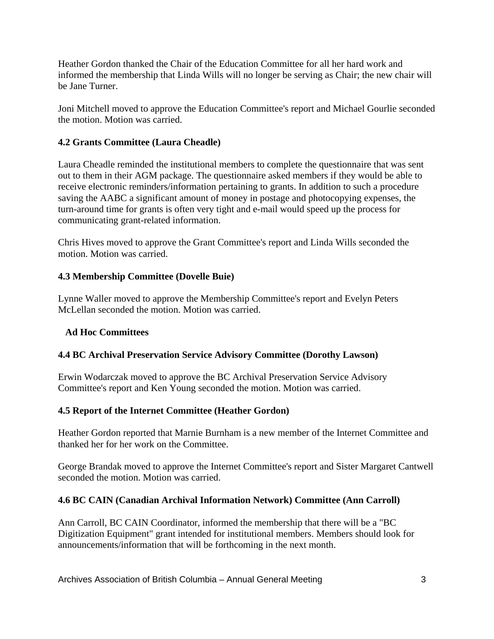Heather Gordon thanked the Chair of the Education Committee for all her hard work and informed the membership that Linda Wills will no longer be serving as Chair; the new chair will be Jane Turner.

Joni Mitchell moved to approve the Education Committee's report and Michael Gourlie seconded the motion. Motion was carried.

# **4.2 Grants Committee (Laura Cheadle)**

Laura Cheadle reminded the institutional members to complete the questionnaire that was sent out to them in their AGM package. The questionnaire asked members if they would be able to receive electronic reminders/information pertaining to grants. In addition to such a procedure saving the AABC a significant amount of money in postage and photocopying expenses, the turn-around time for grants is often very tight and e-mail would speed up the process for communicating grant-related information.

Chris Hives moved to approve the Grant Committee's report and Linda Wills seconded the motion. Motion was carried.

# **4.3 Membership Committee (Dovelle Buie)**

Lynne Waller moved to approve the Membership Committee's report and Evelyn Peters McLellan seconded the motion. Motion was carried.

# **Ad Hoc Committees**

# **4.4 BC Archival Preservation Service Advisory Committee (Dorothy Lawson)**

Erwin Wodarczak moved to approve the BC Archival Preservation Service Advisory Committee's report and Ken Young seconded the motion. Motion was carried.

# **4.5 Report of the Internet Committee (Heather Gordon)**

Heather Gordon reported that Marnie Burnham is a new member of the Internet Committee and thanked her for her work on the Committee.

George Brandak moved to approve the Internet Committee's report and Sister Margaret Cantwell seconded the motion. Motion was carried.

# **4.6 BC CAIN (Canadian Archival Information Network) Committee (Ann Carroll)**

Ann Carroll, BC CAIN Coordinator, informed the membership that there will be a "BC Digitization Equipment" grant intended for institutional members. Members should look for announcements/information that will be forthcoming in the next month.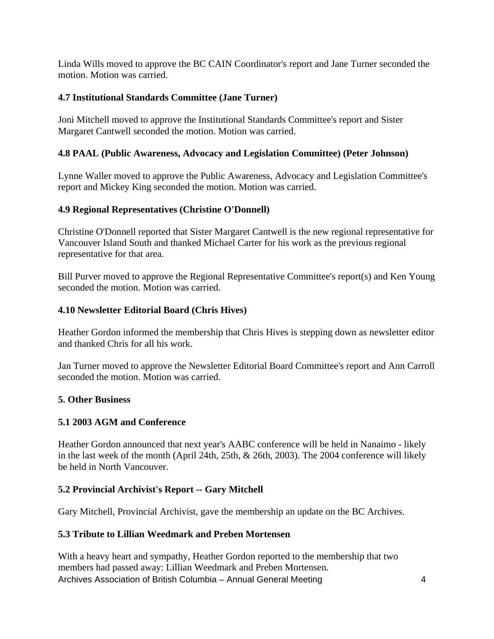Linda Wills moved to approve the BC CAIN Coordinator's report and Jane Turner seconded the motion. Motion was carried.

# **4.7 Institutional Standards Committee (Jane Turner)**

Joni Mitchell moved to approve the Institutional Standards Committee's report and Sister Margaret Cantwell seconded the motion. Motion was carried.

# **4.8 PAAL (Public Awareness, Advocacy and Legislation Committee) (Peter Johnson)**

Lynne Waller moved to approve the Public Awareness, Advocacy and Legislation Committee's report and Mickey King seconded the motion. Motion was carried.

# **4.9 Regional Representatives (Christine O'Donnell)**

Christine O'Donnell reported that Sister Margaret Cantwell is the new regional representative for Vancouver Island South and thanked Michael Carter for his work as the previous regional representative for that area.

Bill Purver moved to approve the Regional Representative Committee's report(s) and Ken Young seconded the motion. Motion was carried.

# **4.10 Newsletter Editorial Board (Chris Hives)**

Heather Gordon informed the membership that Chris Hives is stepping down as newsletter editor and thanked Chris for all his work.

Jan Turner moved to approve the Newsletter Editorial Board Committee's report and Ann Carroll seconded the motion. Motion was carried.

# **5. Other Business**

#### **5.1 2003 AGM and Conference**

Heather Gordon announced that next year's AABC conference will be held in Nanaimo - likely in the last week of the month (April 24th, 25th, & 26th, 2003). The 2004 conference will likely be held in North Vancouver.

# **5.2 Provincial Archivist's Report -- Gary Mitchell**

Gary Mitchell, Provincial Archivist, gave the membership an update on the BC Archives.

# **5.3 Tribute to Lillian Weedmark and Preben Mortensen**

Archives Association of British Columbia – Annual General Meeting 4 With a heavy heart and sympathy, Heather Gordon reported to the membership that two members had passed away: Lillian Weedmark and Preben Mortensen.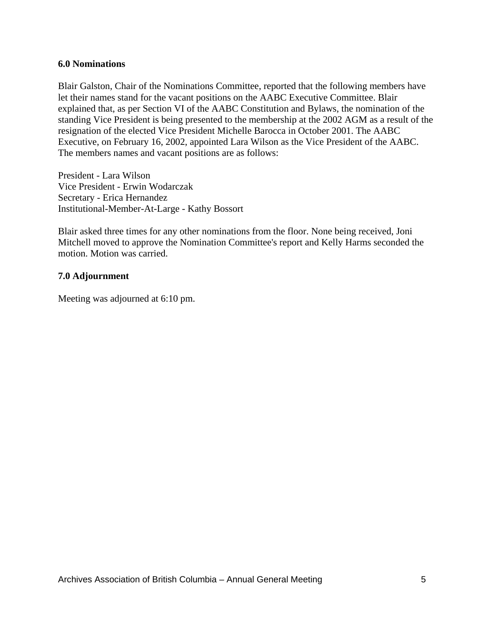#### **6.0 Nominations**

Blair Galston, Chair of the Nominations Committee, reported that the following members have let their names stand for the vacant positions on the AABC Executive Committee. Blair explained that, as per Section VI of the AABC Constitution and Bylaws, the nomination of the standing Vice President is being presented to the membership at the 2002 AGM as a result of the resignation of the elected Vice President Michelle Barocca in October 2001. The AABC Executive, on February 16, 2002, appointed Lara Wilson as the Vice President of the AABC. The members names and vacant positions are as follows:

President - Lara Wilson Vice President - Erwin Wodarczak Secretary - Erica Hernandez Institutional-Member-At-Large - Kathy Bossort

Blair asked three times for any other nominations from the floor. None being received, Joni Mitchell moved to approve the Nomination Committee's report and Kelly Harms seconded the motion. Motion was carried.

#### **7.0 Adjournment**

Meeting was adjourned at 6:10 pm.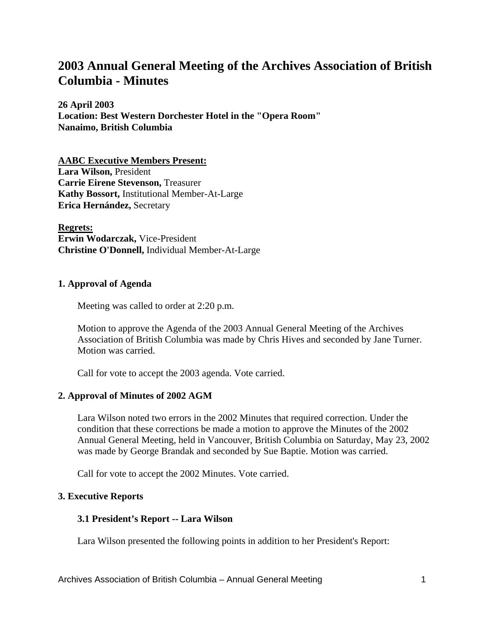# **2003 Annual General Meeting of the Archives Association of British Columbia - Minutes**

**26 April 2003 Location: Best Western Dorchester Hotel in the "Opera Room" Nanaimo, British Columbia**

**AABC Executive Members Present: Lara Wilson,** President **Carrie Eirene Stevenson,** Treasurer **Kathy Bossort,** Institutional Member-At-Large **Erica Hernández,** Secretary

**Regrets: Erwin Wodarczak,** Vice-President **Christine O'Donnell,** Individual Member-At-Large

#### **1. Approval of Agenda**

Meeting was called to order at 2:20 p.m.

Motion to approve the Agenda of the 2003 Annual General Meeting of the Archives Association of British Columbia was made by Chris Hives and seconded by Jane Turner. Motion was carried.

Call for vote to accept the 2003 agenda. Vote carried.

# **2. Approval of Minutes of 2002 AGM**

Lara Wilson noted two errors in the 2002 Minutes that required correction. Under the condition that these corrections be made a motion to approve the Minutes of the 2002 Annual General Meeting, held in Vancouver, British Columbia on Saturday, May 23, 2002 was made by George Brandak and seconded by Sue Baptie. Motion was carried.

Call for vote to accept the 2002 Minutes. Vote carried.

#### **3. Executive Reports**

# **3.1 President's Report -- Lara Wilson**

Lara Wilson presented the following points in addition to her President's Report: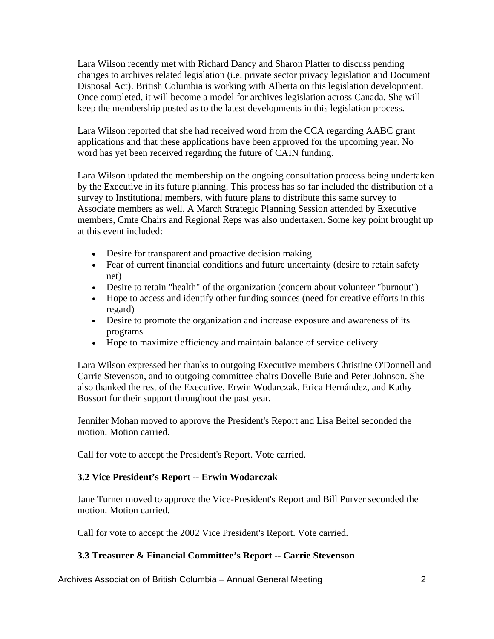Lara Wilson recently met with Richard Dancy and Sharon Platter to discuss pending changes to archives related legislation (i.e. private sector privacy legislation and Document Disposal Act). British Columbia is working with Alberta on this legislation development. Once completed, it will become a model for archives legislation across Canada. She will keep the membership posted as to the latest developments in this legislation process.

Lara Wilson reported that she had received word from the CCA regarding AABC grant applications and that these applications have been approved for the upcoming year. No word has yet been received regarding the future of CAIN funding.

Lara Wilson updated the membership on the ongoing consultation process being undertaken by the Executive in its future planning. This process has so far included the distribution of a survey to Institutional members, with future plans to distribute this same survey to Associate members as well. A March Strategic Planning Session attended by Executive members, Cmte Chairs and Regional Reps was also undertaken. Some key point brought up at this event included:

- Desire for transparent and proactive decision making
- Fear of current financial conditions and future uncertainty (desire to retain safety net)
- Desire to retain "health" of the organization (concern about volunteer "burnout")
- Hope to access and identify other funding sources (need for creative efforts in this regard)
- Desire to promote the organization and increase exposure and awareness of its programs
- Hope to maximize efficiency and maintain balance of service delivery

Lara Wilson expressed her thanks to outgoing Executive members Christine O'Donnell and Carrie Stevenson, and to outgoing committee chairs Dovelle Buie and Peter Johnson. She also thanked the rest of the Executive, Erwin Wodarczak, Erica Hernández, and Kathy Bossort for their support throughout the past year.

Jennifer Mohan moved to approve the President's Report and Lisa Beitel seconded the motion. Motion carried.

Call for vote to accept the President's Report. Vote carried.

#### **3.2 Vice President's Report -- Erwin Wodarczak**

Jane Turner moved to approve the Vice-President's Report and Bill Purver seconded the motion. Motion carried.

Call for vote to accept the 2002 Vice President's Report. Vote carried.

# **3.3 Treasurer & Financial Committee's Report -- Carrie Stevenson**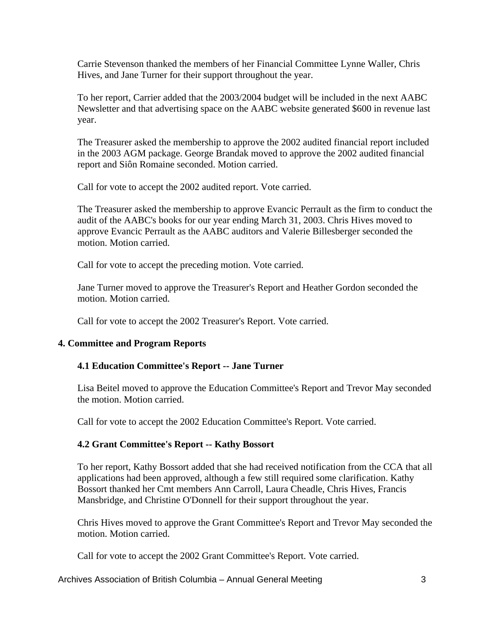Carrie Stevenson thanked the members of her Financial Committee Lynne Waller, Chris Hives, and Jane Turner for their support throughout the year.

To her report, Carrier added that the 2003/2004 budget will be included in the next AABC Newsletter and that advertising space on the AABC website generated \$600 in revenue last year.

The Treasurer asked the membership to approve the 2002 audited financial report included in the 2003 AGM package. George Brandak moved to approve the 2002 audited financial report and Siôn Romaine seconded. Motion carried.

Call for vote to accept the 2002 audited report. Vote carried.

The Treasurer asked the membership to approve Evancic Perrault as the firm to conduct the audit of the AABC's books for our year ending March 31, 2003. Chris Hives moved to approve Evancic Perrault as the AABC auditors and Valerie Billesberger seconded the motion. Motion carried.

Call for vote to accept the preceding motion. Vote carried.

Jane Turner moved to approve the Treasurer's Report and Heather Gordon seconded the motion. Motion carried.

Call for vote to accept the 2002 Treasurer's Report. Vote carried.

# **4. Committee and Program Reports**

# **4.1 Education Committee's Report -- Jane Turner**

Lisa Beitel moved to approve the Education Committee's Report and Trevor May seconded the motion. Motion carried.

Call for vote to accept the 2002 Education Committee's Report. Vote carried.

# **4.2 Grant Committee's Report -- Kathy Bossort**

To her report, Kathy Bossort added that she had received notification from the CCA that all applications had been approved, although a few still required some clarification. Kathy Bossort thanked her Cmt members Ann Carroll, Laura Cheadle, Chris Hives, Francis Mansbridge, and Christine O'Donnell for their support throughout the year.

Chris Hives moved to approve the Grant Committee's Report and Trevor May seconded the motion. Motion carried.

Call for vote to accept the 2002 Grant Committee's Report. Vote carried.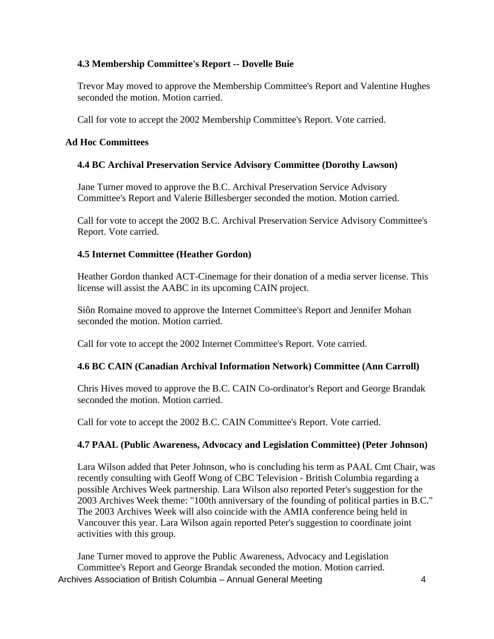# **4.3 Membership Committee's Report -- Dovelle Buie**

Trevor May moved to approve the Membership Committee's Report and Valentine Hughes seconded the motion. Motion carried.

Call for vote to accept the 2002 Membership Committee's Report. Vote carried.

#### **Ad Hoc Committees**

#### **4.4 BC Archival Preservation Service Advisory Committee (Dorothy Lawson)**

Jane Turner moved to approve the B.C. Archival Preservation Service Advisory Committee's Report and Valerie Billesberger seconded the motion. Motion carried.

Call for vote to accept the 2002 B.C. Archival Preservation Service Advisory Committee's Report. Vote carried.

#### **4.5 Internet Committee (Heather Gordon)**

Heather Gordon thanked ACT-Cinemage for their donation of a media server license. This license will assist the AABC in its upcoming CAIN project.

Siôn Romaine moved to approve the Internet Committee's Report and Jennifer Mohan seconded the motion. Motion carried.

Call for vote to accept the 2002 Internet Committee's Report. Vote carried.

# **4.6 BC CAIN (Canadian Archival Information Network) Committee (Ann Carroll)**

Chris Hives moved to approve the B.C. CAIN Co-ordinator's Report and George Brandak seconded the motion. Motion carried.

Call for vote to accept the 2002 B.C. CAIN Committee's Report. Vote carried.

# **4.7 PAAL (Public Awareness, Advocacy and Legislation Committee) (Peter Johnson)**

Lara Wilson added that Peter Johnson, who is concluding his term as PAAL Cmt Chair, was recently consulting with Geoff Wong of CBC Television - British Columbia regarding a possible Archives Week partnership. Lara Wilson also reported Peter's suggestion for the 2003 Archives Week theme: "100th anniversary of the founding of political parties in B.C." The 2003 Archives Week will also coincide with the AMIA conference being held in Vancouver this year. Lara Wilson again reported Peter's suggestion to coordinate joint activities with this group.

Archives Association of British Columbia – Annual General Meeting 4 Jane Turner moved to approve the Public Awareness, Advocacy and Legislation Committee's Report and George Brandak seconded the motion. Motion carried.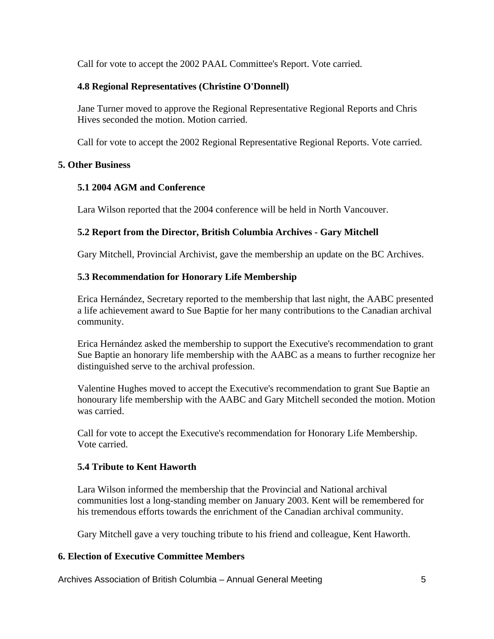Call for vote to accept the 2002 PAAL Committee's Report. Vote carried.

# **4.8 Regional Representatives (Christine O'Donnell)**

Jane Turner moved to approve the Regional Representative Regional Reports and Chris Hives seconded the motion. Motion carried.

Call for vote to accept the 2002 Regional Representative Regional Reports. Vote carried.

# **5. Other Business**

# **5.1 2004 AGM and Conference**

Lara Wilson reported that the 2004 conference will be held in North Vancouver.

# **5.2 Report from the Director, British Columbia Archives - Gary Mitchell**

Gary Mitchell, Provincial Archivist, gave the membership an update on the BC Archives.

# **5.3 Recommendation for Honorary Life Membership**

Erica Hernández, Secretary reported to the membership that last night, the AABC presented a life achievement award to Sue Baptie for her many contributions to the Canadian archival community.

Erica Hernández asked the membership to support the Executive's recommendation to grant Sue Baptie an honorary life membership with the AABC as a means to further recognize her distinguished serve to the archival profession.

Valentine Hughes moved to accept the Executive's recommendation to grant Sue Baptie an honourary life membership with the AABC and Gary Mitchell seconded the motion. Motion was carried.

Call for vote to accept the Executive's recommendation for Honorary Life Membership. Vote carried.

# **5.4 Tribute to Kent Haworth**

Lara Wilson informed the membership that the Provincial and National archival communities lost a long-standing member on January 2003. Kent will be remembered for his tremendous efforts towards the enrichment of the Canadian archival community.

Gary Mitchell gave a very touching tribute to his friend and colleague, Kent Haworth.

# **6. Election of Executive Committee Members**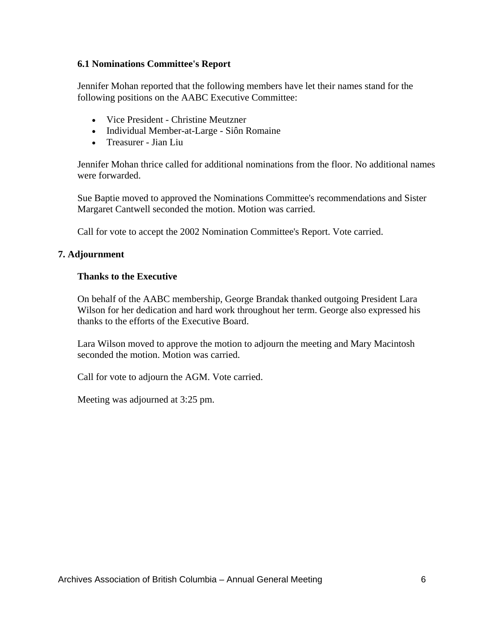#### **6.1 Nominations Committee's Report**

Jennifer Mohan reported that the following members have let their names stand for the following positions on the AABC Executive Committee:

- Vice President Christine Meutzner
- Individual Member-at-Large Siôn Romaine
- Treasurer Jian Liu

Jennifer Mohan thrice called for additional nominations from the floor. No additional names were forwarded.

Sue Baptie moved to approved the Nominations Committee's recommendations and Sister Margaret Cantwell seconded the motion. Motion was carried.

Call for vote to accept the 2002 Nomination Committee's Report. Vote carried.

#### **7. Adjournment**

#### **Thanks to the Executive**

On behalf of the AABC membership, George Brandak thanked outgoing President Lara Wilson for her dedication and hard work throughout her term. George also expressed his thanks to the efforts of the Executive Board.

Lara Wilson moved to approve the motion to adjourn the meeting and Mary Macintosh seconded the motion. Motion was carried.

Call for vote to adjourn the AGM. Vote carried.

Meeting was adjourned at 3:25 pm.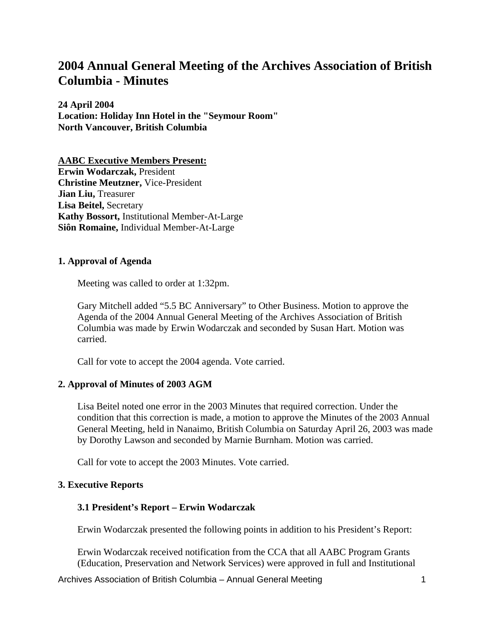# **2004 Annual General Meeting of the Archives Association of British Columbia - Minutes**

**24 April 2004 Location: Holiday Inn Hotel in the "Seymour Room" North Vancouver, British Columbia**

**AABC Executive Members Present: Erwin Wodarczak,** President **Christine Meutzner,** Vice-President **Jian Liu,** Treasurer **Lisa Beitel,** Secretary **Kathy Bossort,** Institutional Member-At-Large **Siôn Romaine,** Individual Member-At-Large

#### **1. Approval of Agenda**

Meeting was called to order at 1:32pm.

Gary Mitchell added "5.5 BC Anniversary" to Other Business. Motion to approve the Agenda of the 2004 Annual General Meeting of the Archives Association of British Columbia was made by Erwin Wodarczak and seconded by Susan Hart. Motion was carried.

Call for vote to accept the 2004 agenda. Vote carried.

#### **2. Approval of Minutes of 2003 AGM**

Lisa Beitel noted one error in the 2003 Minutes that required correction. Under the condition that this correction is made, a motion to approve the Minutes of the 2003 Annual General Meeting, held in Nanaimo, British Columbia on Saturday April 26, 2003 was made by Dorothy Lawson and seconded by Marnie Burnham. Motion was carried.

Call for vote to accept the 2003 Minutes. Vote carried.

#### **3. Executive Reports**

#### **3.1 President's Report – Erwin Wodarczak**

Erwin Wodarczak presented the following points in addition to his President's Report:

Erwin Wodarczak received notification from the CCA that all AABC Program Grants (Education, Preservation and Network Services) were approved in full and Institutional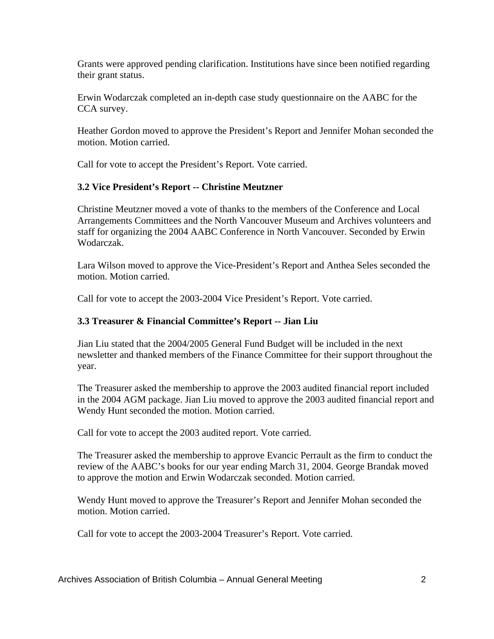Grants were approved pending clarification. Institutions have since been notified regarding their grant status.

Erwin Wodarczak completed an in-depth case study questionnaire on the AABC for the CCA survey.

Heather Gordon moved to approve the President's Report and Jennifer Mohan seconded the motion. Motion carried.

Call for vote to accept the President's Report. Vote carried.

# **3.2 Vice President's Report -- Christine Meutzner**

Christine Meutzner moved a vote of thanks to the members of the Conference and Local Arrangements Committees and the North Vancouver Museum and Archives volunteers and staff for organizing the 2004 AABC Conference in North Vancouver. Seconded by Erwin Wodarczak.

Lara Wilson moved to approve the Vice-President's Report and Anthea Seles seconded the motion. Motion carried.

Call for vote to accept the 2003-2004 Vice President's Report. Vote carried.

# **3.3 Treasurer & Financial Committee's Report -- Jian Liu**

Jian Liu stated that the 2004/2005 General Fund Budget will be included in the next newsletter and thanked members of the Finance Committee for their support throughout the year.

The Treasurer asked the membership to approve the 2003 audited financial report included in the 2004 AGM package. Jian Liu moved to approve the 2003 audited financial report and Wendy Hunt seconded the motion. Motion carried.

Call for vote to accept the 2003 audited report. Vote carried.

The Treasurer asked the membership to approve Evancic Perrault as the firm to conduct the review of the AABC's books for our year ending March 31, 2004. George Brandak moved to approve the motion and Erwin Wodarczak seconded. Motion carried.

Wendy Hunt moved to approve the Treasurer's Report and Jennifer Mohan seconded the motion. Motion carried.

Call for vote to accept the 2003-2004 Treasurer's Report. Vote carried.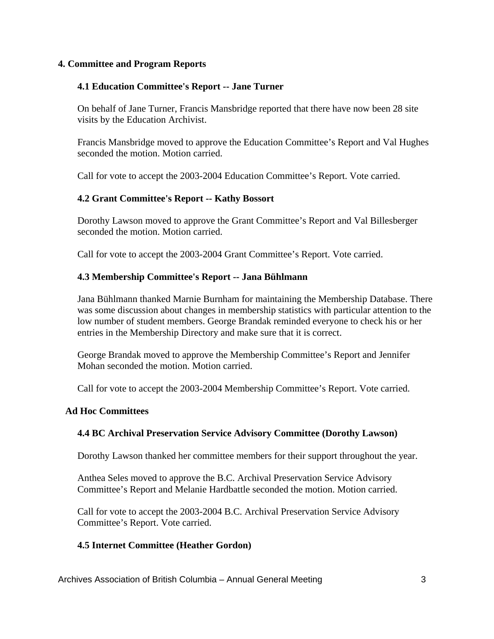#### **4. Committee and Program Reports**

#### **4.1 Education Committee's Report -- Jane Turner**

On behalf of Jane Turner, Francis Mansbridge reported that there have now been 28 site visits by the Education Archivist.

Francis Mansbridge moved to approve the Education Committee's Report and Val Hughes seconded the motion. Motion carried.

Call for vote to accept the 2003-2004 Education Committee's Report. Vote carried.

# **4.2 Grant Committee's Report -- Kathy Bossort**

Dorothy Lawson moved to approve the Grant Committee's Report and Val Billesberger seconded the motion. Motion carried.

Call for vote to accept the 2003-2004 Grant Committee's Report. Vote carried.

#### **4.3 Membership Committee's Report -- Jana Bühlmann**

Jana Bühlmann thanked Marnie Burnham for maintaining the Membership Database. There was some discussion about changes in membership statistics with particular attention to the low number of student members. George Brandak reminded everyone to check his or her entries in the Membership Directory and make sure that it is correct.

George Brandak moved to approve the Membership Committee's Report and Jennifer Mohan seconded the motion. Motion carried.

Call for vote to accept the 2003-2004 Membership Committee's Report. Vote carried.

#### **Ad Hoc Committees**

#### **4.4 BC Archival Preservation Service Advisory Committee (Dorothy Lawson)**

Dorothy Lawson thanked her committee members for their support throughout the year.

Anthea Seles moved to approve the B.C. Archival Preservation Service Advisory Committee's Report and Melanie Hardbattle seconded the motion. Motion carried.

Call for vote to accept the 2003-2004 B.C. Archival Preservation Service Advisory Committee's Report. Vote carried.

#### **4.5 Internet Committee (Heather Gordon)**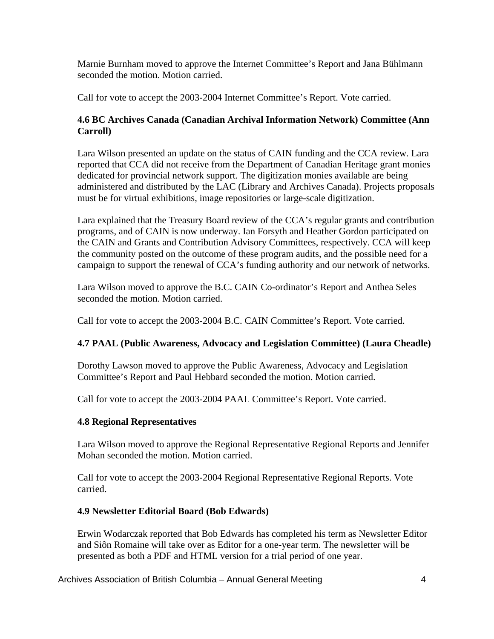Marnie Burnham moved to approve the Internet Committee's Report and Jana Bühlmann seconded the motion. Motion carried.

Call for vote to accept the 2003-2004 Internet Committee's Report. Vote carried.

# **4.6 BC Archives Canada (Canadian Archival Information Network) Committee (Ann Carroll)**

Lara Wilson presented an update on the status of CAIN funding and the CCA review. Lara reported that CCA did not receive from the Department of Canadian Heritage grant monies dedicated for provincial network support. The digitization monies available are being administered and distributed by the LAC (Library and Archives Canada). Projects proposals must be for virtual exhibitions, image repositories or large-scale digitization.

Lara explained that the Treasury Board review of the CCA's regular grants and contribution programs, and of CAIN is now underway. Ian Forsyth and Heather Gordon participated on the CAIN and Grants and Contribution Advisory Committees, respectively. CCA will keep the community posted on the outcome of these program audits, and the possible need for a campaign to support the renewal of CCA's funding authority and our network of networks.

Lara Wilson moved to approve the B.C. CAIN Co-ordinator's Report and Anthea Seles seconded the motion. Motion carried.

Call for vote to accept the 2003-2004 B.C. CAIN Committee's Report. Vote carried.

# **4.7 PAAL (Public Awareness, Advocacy and Legislation Committee) (Laura Cheadle)**

Dorothy Lawson moved to approve the Public Awareness, Advocacy and Legislation Committee's Report and Paul Hebbard seconded the motion. Motion carried.

Call for vote to accept the 2003-2004 PAAL Committee's Report. Vote carried.

# **4.8 Regional Representatives**

Lara Wilson moved to approve the Regional Representative Regional Reports and Jennifer Mohan seconded the motion. Motion carried.

Call for vote to accept the 2003-2004 Regional Representative Regional Reports. Vote carried.

# **4.9 Newsletter Editorial Board (Bob Edwards)**

Erwin Wodarczak reported that Bob Edwards has completed his term as Newsletter Editor and Siôn Romaine will take over as Editor for a one-year term. The newsletter will be presented as both a PDF and HTML version for a trial period of one year.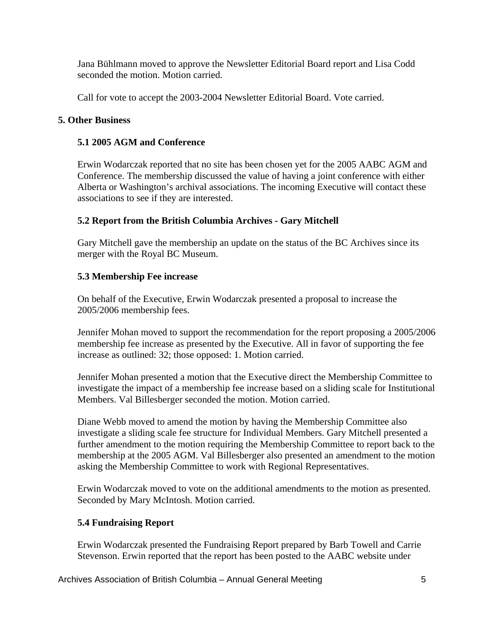Jana Bühlmann moved to approve the Newsletter Editorial Board report and Lisa Codd seconded the motion. Motion carried.

Call for vote to accept the 2003-2004 Newsletter Editorial Board. Vote carried.

# **5. Other Business**

#### **5.1 2005 AGM and Conference**

Erwin Wodarczak reported that no site has been chosen yet for the 2005 AABC AGM and Conference. The membership discussed the value of having a joint conference with either Alberta or Washington's archival associations. The incoming Executive will contact these associations to see if they are interested.

# **5.2 Report from the British Columbia Archives - Gary Mitchell**

Gary Mitchell gave the membership an update on the status of the BC Archives since its merger with the Royal BC Museum.

#### **5.3 Membership Fee increase**

On behalf of the Executive, Erwin Wodarczak presented a proposal to increase the 2005/2006 membership fees.

Jennifer Mohan moved to support the recommendation for the report proposing a 2005/2006 membership fee increase as presented by the Executive. All in favor of supporting the fee increase as outlined: 32; those opposed: 1. Motion carried.

Jennifer Mohan presented a motion that the Executive direct the Membership Committee to investigate the impact of a membership fee increase based on a sliding scale for Institutional Members. Val Billesberger seconded the motion. Motion carried.

Diane Webb moved to amend the motion by having the Membership Committee also investigate a sliding scale fee structure for Individual Members. Gary Mitchell presented a further amendment to the motion requiring the Membership Committee to report back to the membership at the 2005 AGM. Val Billesberger also presented an amendment to the motion asking the Membership Committee to work with Regional Representatives.

Erwin Wodarczak moved to vote on the additional amendments to the motion as presented. Seconded by Mary McIntosh. Motion carried.

# **5.4 Fundraising Report**

Erwin Wodarczak presented the Fundraising Report prepared by Barb Towell and Carrie Stevenson. Erwin reported that the report has been posted to the AABC website under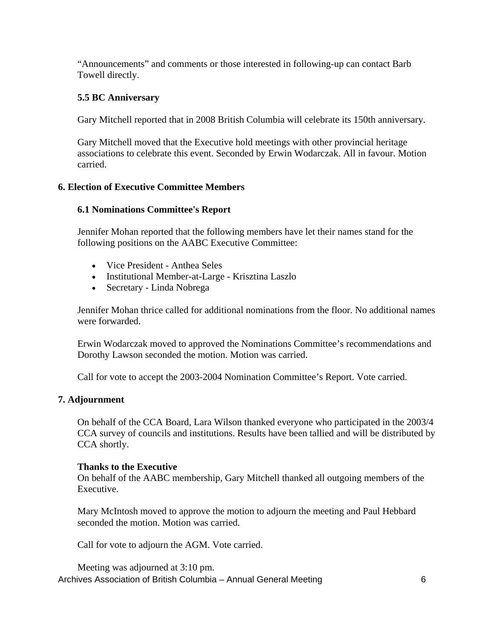"Announcements" and comments or those interested in following-up can contact Barb Towell directly.

# **5.5 BC Anniversary**

Gary Mitchell reported that in 2008 British Columbia will celebrate its 150th anniversary.

Gary Mitchell moved that the Executive hold meetings with other provincial heritage associations to celebrate this event. Seconded by Erwin Wodarczak. All in favour. Motion carried.

# **6. Election of Executive Committee Members**

# **6.1 Nominations Committee's Report**

Jennifer Mohan reported that the following members have let their names stand for the following positions on the AABC Executive Committee:

- Vice President Anthea Seles
- Institutional Member-at-Large Krisztina Laszlo
- Secretary Linda Nobrega

Jennifer Mohan thrice called for additional nominations from the floor. No additional names were forwarded.

Erwin Wodarczak moved to approved the Nominations Committee's recommendations and Dorothy Lawson seconded the motion. Motion was carried.

Call for vote to accept the 2003-2004 Nomination Committee's Report. Vote carried.

# **7. Adjournment**

On behalf of the CCA Board, Lara Wilson thanked everyone who participated in the 2003/4 CCA survey of councils and institutions. Results have been tallied and will be distributed by CCA shortly.

# **Thanks to the Executive**

On behalf of the AABC membership, Gary Mitchell thanked all outgoing members of the Executive.

Mary McIntosh moved to approve the motion to adjourn the meeting and Paul Hebbard seconded the motion. Motion was carried.

Call for vote to adjourn the AGM. Vote carried.

Archives Association of British Columbia – Annual General Meeting 6 Meeting was adjourned at 3:10 pm.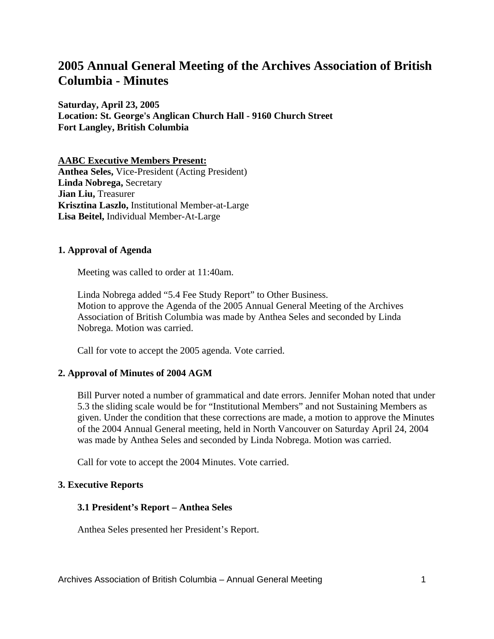# **2005 Annual General Meeting of the Archives Association of British Columbia - Minutes**

**Saturday, April 23, 2005 Location: St. George's Anglican Church Hall - 9160 Church Street Fort Langley, British Columbia**

**AABC Executive Members Present: Anthea Seles,** Vice-President (Acting President) **Linda Nobrega,** Secretary **Jian Liu,** Treasurer **Krisztina Laszlo,** Institutional Member-at-Large **Lisa Beitel,** Individual Member-At-Large

#### **1. Approval of Agenda**

Meeting was called to order at 11:40am.

Linda Nobrega added "5.4 Fee Study Report" to Other Business. Motion to approve the Agenda of the 2005 Annual General Meeting of the Archives Association of British Columbia was made by Anthea Seles and seconded by Linda Nobrega. Motion was carried.

Call for vote to accept the 2005 agenda. Vote carried.

#### **2. Approval of Minutes of 2004 AGM**

Bill Purver noted a number of grammatical and date errors. Jennifer Mohan noted that under 5.3 the sliding scale would be for "Institutional Members" and not Sustaining Members as given. Under the condition that these corrections are made, a motion to approve the Minutes of the 2004 Annual General meeting, held in North Vancouver on Saturday April 24, 2004 was made by Anthea Seles and seconded by Linda Nobrega. Motion was carried.

Call for vote to accept the 2004 Minutes. Vote carried.

#### **3. Executive Reports**

#### **3.1 President's Report – Anthea Seles**

Anthea Seles presented her President's Report.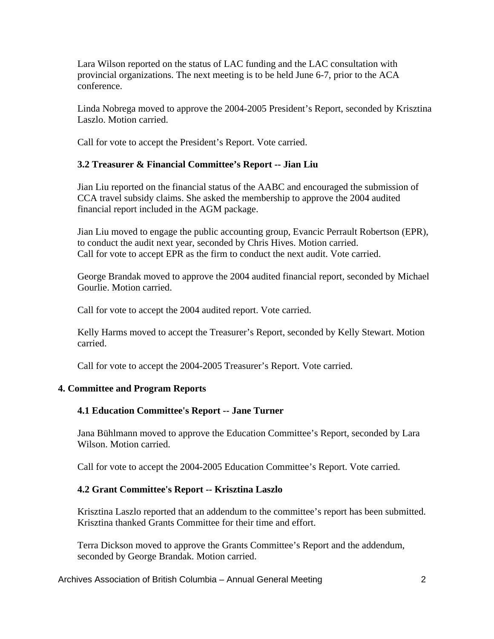Lara Wilson reported on the status of LAC funding and the LAC consultation with provincial organizations. The next meeting is to be held June 6-7, prior to the ACA conference.

Linda Nobrega moved to approve the 2004-2005 President's Report, seconded by Krisztina Laszlo. Motion carried.

Call for vote to accept the President's Report. Vote carried.

# **3.2 Treasurer & Financial Committee's Report -- Jian Liu**

Jian Liu reported on the financial status of the AABC and encouraged the submission of CCA travel subsidy claims. She asked the membership to approve the 2004 audited financial report included in the AGM package.

Jian Liu moved to engage the public accounting group, Evancic Perrault Robertson (EPR), to conduct the audit next year, seconded by Chris Hives. Motion carried. Call for vote to accept EPR as the firm to conduct the next audit. Vote carried.

George Brandak moved to approve the 2004 audited financial report, seconded by Michael Gourlie. Motion carried.

Call for vote to accept the 2004 audited report. Vote carried.

Kelly Harms moved to accept the Treasurer's Report, seconded by Kelly Stewart. Motion carried.

Call for vote to accept the 2004-2005 Treasurer's Report. Vote carried.

#### **4. Committee and Program Reports**

#### **4.1 Education Committee's Report -- Jane Turner**

Jana Bühlmann moved to approve the Education Committee's Report, seconded by Lara Wilson. Motion carried.

Call for vote to accept the 2004-2005 Education Committee's Report. Vote carried.

#### **4.2 Grant Committee's Report -- Krisztina Laszlo**

Krisztina Laszlo reported that an addendum to the committee's report has been submitted. Krisztina thanked Grants Committee for their time and effort.

Terra Dickson moved to approve the Grants Committee's Report and the addendum, seconded by George Brandak. Motion carried.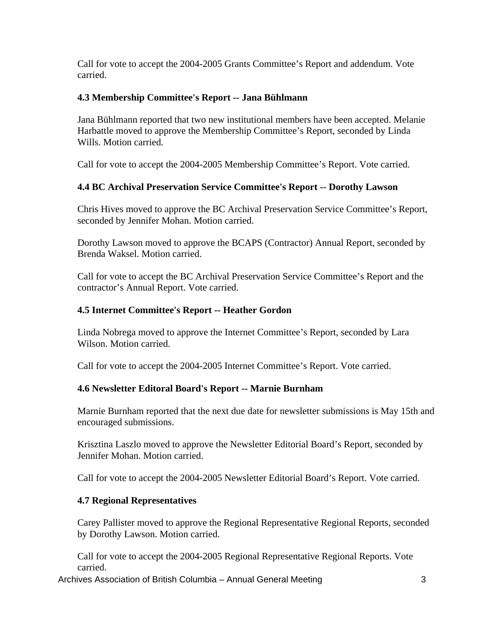Call for vote to accept the 2004-2005 Grants Committee's Report and addendum. Vote carried.

# **4.3 Membership Committee's Report -- Jana Bühlmann**

Jana Bühlmann reported that two new institutional members have been accepted. Melanie Harbattle moved to approve the Membership Committee's Report, seconded by Linda Wills. Motion carried.

Call for vote to accept the 2004-2005 Membership Committee's Report. Vote carried.

# **4.4 BC Archival Preservation Service Committee's Report -- Dorothy Lawson**

Chris Hives moved to approve the BC Archival Preservation Service Committee's Report, seconded by Jennifer Mohan. Motion carried.

Dorothy Lawson moved to approve the BCAPS (Contractor) Annual Report, seconded by Brenda Waksel. Motion carried.

Call for vote to accept the BC Archival Preservation Service Committee's Report and the contractor's Annual Report. Vote carried.

# **4.5 Internet Committee's Report -- Heather Gordon**

Linda Nobrega moved to approve the Internet Committee's Report, seconded by Lara Wilson. Motion carried.

Call for vote to accept the 2004-2005 Internet Committee's Report. Vote carried.

# **4.6 Newsletter Editoral Board's Report -- Marnie Burnham**

Marnie Burnham reported that the next due date for newsletter submissions is May 15th and encouraged submissions.

Krisztina Laszlo moved to approve the Newsletter Editorial Board's Report, seconded by Jennifer Mohan. Motion carried.

Call for vote to accept the 2004-2005 Newsletter Editorial Board's Report. Vote carried.

# **4.7 Regional Representatives**

Carey Pallister moved to approve the Regional Representative Regional Reports, seconded by Dorothy Lawson. Motion carried.

Call for vote to accept the 2004-2005 Regional Representative Regional Reports. Vote carried.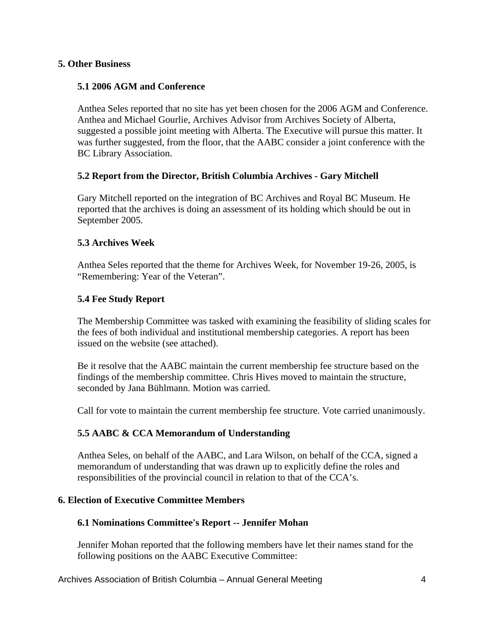#### **5. Other Business**

#### **5.1 2006 AGM and Conference**

Anthea Seles reported that no site has yet been chosen for the 2006 AGM and Conference. Anthea and Michael Gourlie, Archives Advisor from Archives Society of Alberta, suggested a possible joint meeting with Alberta. The Executive will pursue this matter. It was further suggested, from the floor, that the AABC consider a joint conference with the BC Library Association.

#### **5.2 Report from the Director, British Columbia Archives - Gary Mitchell**

Gary Mitchell reported on the integration of BC Archives and Royal BC Museum. He reported that the archives is doing an assessment of its holding which should be out in September 2005.

#### **5.3 Archives Week**

Anthea Seles reported that the theme for Archives Week, for November 19-26, 2005, is "Remembering: Year of the Veteran".

#### **5.4 Fee Study Report**

The Membership Committee was tasked with examining the feasibility of sliding scales for the fees of both individual and institutional membership categories. A report has been issued on the website (see attached).

Be it resolve that the AABC maintain the current membership fee structure based on the findings of the membership committee. Chris Hives moved to maintain the structure, seconded by Jana Bühlmann. Motion was carried.

Call for vote to maintain the current membership fee structure. Vote carried unanimously.

# **5.5 AABC & CCA Memorandum of Understanding**

Anthea Seles, on behalf of the AABC, and Lara Wilson, on behalf of the CCA, signed a memorandum of understanding that was drawn up to explicitly define the roles and responsibilities of the provincial council in relation to that of the CCA's.

#### **6. Election of Executive Committee Members**

#### **6.1 Nominations Committee's Report -- Jennifer Mohan**

Jennifer Mohan reported that the following members have let their names stand for the following positions on the AABC Executive Committee: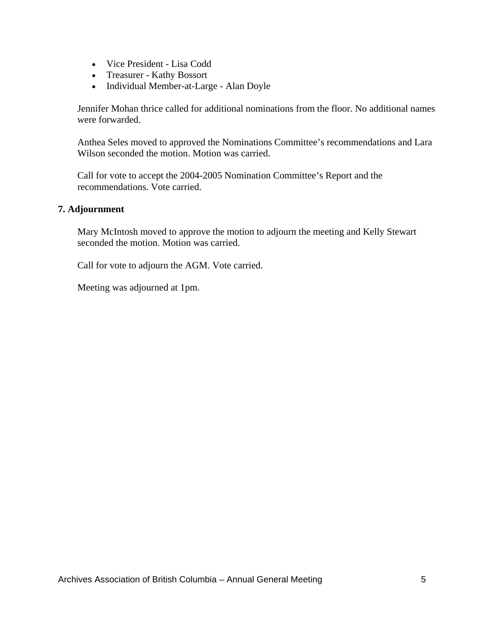- Vice President Lisa Codd
- Treasurer Kathy Bossort
- Individual Member-at-Large Alan Doyle

Jennifer Mohan thrice called for additional nominations from the floor. No additional names were forwarded.

Anthea Seles moved to approved the Nominations Committee's recommendations and Lara Wilson seconded the motion. Motion was carried.

Call for vote to accept the 2004-2005 Nomination Committee's Report and the recommendations. Vote carried.

#### **7. Adjournment**

Mary McIntosh moved to approve the motion to adjourn the meeting and Kelly Stewart seconded the motion. Motion was carried.

Call for vote to adjourn the AGM. Vote carried.

Meeting was adjourned at 1pm.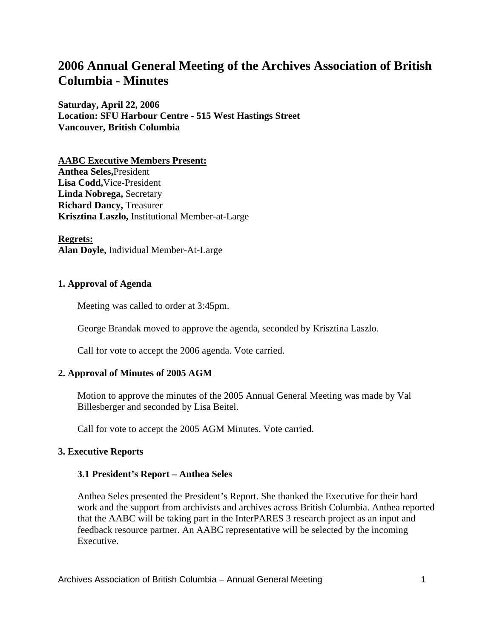# **2006 Annual General Meeting of the Archives Association of British Columbia - Minutes**

**Saturday, April 22, 2006 Location: SFU Harbour Centre - 515 West Hastings Street Vancouver, British Columbia**

**AABC Executive Members Present: Anthea Seles,**President **Lisa Codd,**Vice-President **Linda Nobrega,** Secretary **Richard Dancy,** Treasurer **Krisztina Laszlo,** Institutional Member-at-Large

**Regrets: Alan Doyle,** Individual Member-At-Large

#### **1. Approval of Agenda**

Meeting was called to order at 3:45pm.

George Brandak moved to approve the agenda, seconded by Krisztina Laszlo.

Call for vote to accept the 2006 agenda. Vote carried.

#### **2. Approval of Minutes of 2005 AGM**

Motion to approve the minutes of the 2005 Annual General Meeting was made by Val Billesberger and seconded by Lisa Beitel.

Call for vote to accept the 2005 AGM Minutes. Vote carried.

#### **3. Executive Reports**

#### **3.1 President's Report – Anthea Seles**

Anthea Seles presented the President's Report. She thanked the Executive for their hard work and the support from archivists and archives across British Columbia. Anthea reported that the AABC will be taking part in the InterPARES 3 research project as an input and feedback resource partner. An AABC representative will be selected by the incoming Executive.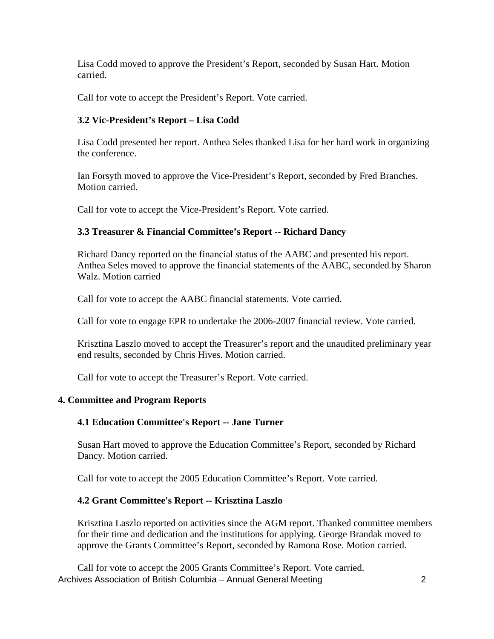Lisa Codd moved to approve the President's Report, seconded by Susan Hart. Motion carried.

Call for vote to accept the President's Report. Vote carried.

# **3.2 Vic-President's Report – Lisa Codd**

Lisa Codd presented her report. Anthea Seles thanked Lisa for her hard work in organizing the conference.

Ian Forsyth moved to approve the Vice-President's Report, seconded by Fred Branches. Motion carried.

Call for vote to accept the Vice-President's Report. Vote carried.

# **3.3 Treasurer & Financial Committee's Report -- Richard Dancy**

Richard Dancy reported on the financial status of the AABC and presented his report. Anthea Seles moved to approve the financial statements of the AABC, seconded by Sharon Walz. Motion carried

Call for vote to accept the AABC financial statements. Vote carried.

Call for vote to engage EPR to undertake the 2006-2007 financial review. Vote carried.

Krisztina Laszlo moved to accept the Treasurer's report and the unaudited preliminary year end results, seconded by Chris Hives. Motion carried.

Call for vote to accept the Treasurer's Report. Vote carried.

# **4. Committee and Program Reports**

# **4.1 Education Committee's Report -- Jane Turner**

Susan Hart moved to approve the Education Committee's Report, seconded by Richard Dancy. Motion carried.

Call for vote to accept the 2005 Education Committee's Report. Vote carried.

#### **4.2 Grant Committee's Report -- Krisztina Laszlo**

Krisztina Laszlo reported on activities since the AGM report. Thanked committee members for their time and dedication and the institutions for applying. George Brandak moved to approve the Grants Committee's Report, seconded by Ramona Rose. Motion carried.

Archives Association of British Columbia – Annual General Meeting 2 Call for vote to accept the 2005 Grants Committee's Report. Vote carried.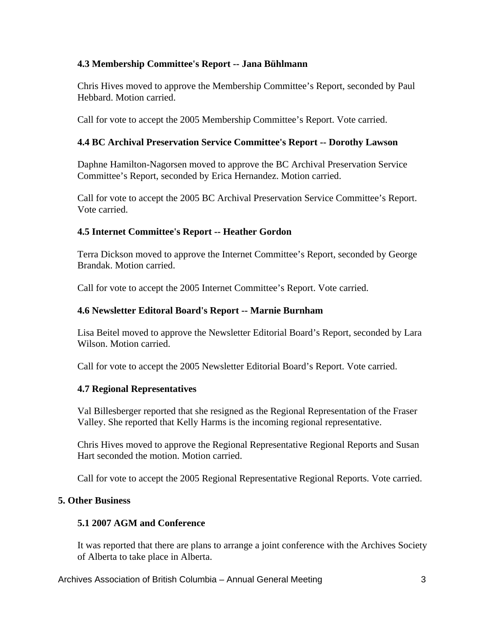# **4.3 Membership Committee's Report -- Jana Bühlmann**

Chris Hives moved to approve the Membership Committee's Report, seconded by Paul Hebbard. Motion carried.

Call for vote to accept the 2005 Membership Committee's Report. Vote carried.

# **4.4 BC Archival Preservation Service Committee's Report -- Dorothy Lawson**

Daphne Hamilton-Nagorsen moved to approve the BC Archival Preservation Service Committee's Report, seconded by Erica Hernandez. Motion carried.

Call for vote to accept the 2005 BC Archival Preservation Service Committee's Report. Vote carried.

#### **4.5 Internet Committee's Report -- Heather Gordon**

Terra Dickson moved to approve the Internet Committee's Report, seconded by George Brandak. Motion carried.

Call for vote to accept the 2005 Internet Committee's Report. Vote carried.

#### **4.6 Newsletter Editoral Board's Report -- Marnie Burnham**

Lisa Beitel moved to approve the Newsletter Editorial Board's Report, seconded by Lara Wilson. Motion carried

Call for vote to accept the 2005 Newsletter Editorial Board's Report. Vote carried.

# **4.7 Regional Representatives**

Val Billesberger reported that she resigned as the Regional Representation of the Fraser Valley. She reported that Kelly Harms is the incoming regional representative.

Chris Hives moved to approve the Regional Representative Regional Reports and Susan Hart seconded the motion. Motion carried.

Call for vote to accept the 2005 Regional Representative Regional Reports. Vote carried.

# **5. Other Business**

#### **5.1 2007 AGM and Conference**

It was reported that there are plans to arrange a joint conference with the Archives Society of Alberta to take place in Alberta.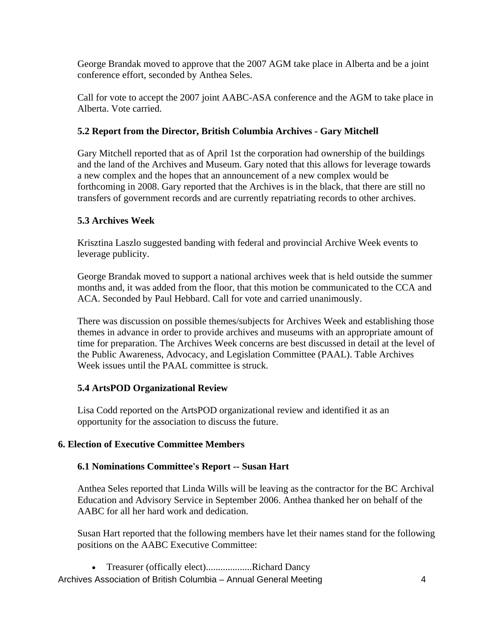George Brandak moved to approve that the 2007 AGM take place in Alberta and be a joint conference effort, seconded by Anthea Seles.

Call for vote to accept the 2007 joint AABC-ASA conference and the AGM to take place in Alberta. Vote carried.

# **5.2 Report from the Director, British Columbia Archives - Gary Mitchell**

Gary Mitchell reported that as of April 1st the corporation had ownership of the buildings and the land of the Archives and Museum. Gary noted that this allows for leverage towards a new complex and the hopes that an announcement of a new complex would be forthcoming in 2008. Gary reported that the Archives is in the black, that there are still no transfers of government records and are currently repatriating records to other archives.

# **5.3 Archives Week**

Krisztina Laszlo suggested banding with federal and provincial Archive Week events to leverage publicity.

George Brandak moved to support a national archives week that is held outside the summer months and, it was added from the floor, that this motion be communicated to the CCA and ACA. Seconded by Paul Hebbard. Call for vote and carried unanimously.

There was discussion on possible themes/subjects for Archives Week and establishing those themes in advance in order to provide archives and museums with an appropriate amount of time for preparation. The Archives Week concerns are best discussed in detail at the level of the Public Awareness, Advocacy, and Legislation Committee (PAAL). Table Archives Week issues until the PAAL committee is struck.

# **5.4 ArtsPOD Organizational Review**

Lisa Codd reported on the ArtsPOD organizational review and identified it as an opportunity for the association to discuss the future.

# **6. Election of Executive Committee Members**

# **6.1 Nominations Committee's Report -- Susan Hart**

Anthea Seles reported that Linda Wills will be leaving as the contractor for the BC Archival Education and Advisory Service in September 2006. Anthea thanked her on behalf of the AABC for all her hard work and dedication.

Susan Hart reported that the following members have let their names stand for the following positions on the AABC Executive Committee:

• Treasurer (offically elect)...................Richard Dancy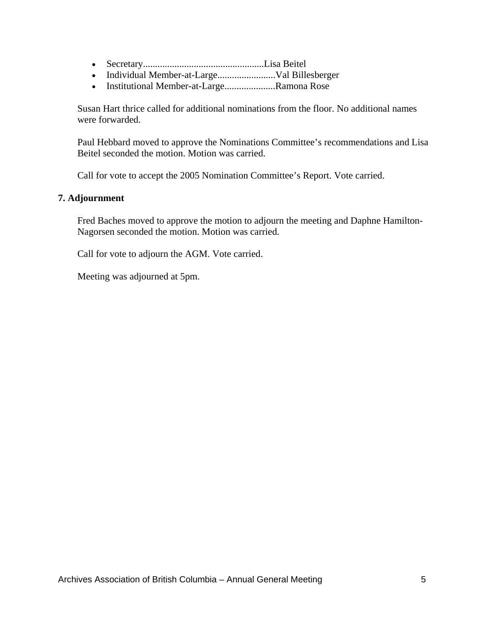- Secretary..................................................Lisa Beitel
- Individual Member-at-Large........................Val Billesberger
- Institutional Member-at-Large.....................Ramona Rose

Susan Hart thrice called for additional nominations from the floor. No additional names were forwarded.

Paul Hebbard moved to approve the Nominations Committee's recommendations and Lisa Beitel seconded the motion. Motion was carried.

Call for vote to accept the 2005 Nomination Committee's Report. Vote carried.

#### **7. Adjournment**

Fred Baches moved to approve the motion to adjourn the meeting and Daphne Hamilton-Nagorsen seconded the motion. Motion was carried.

Call for vote to adjourn the AGM. Vote carried.

Meeting was adjourned at 5pm.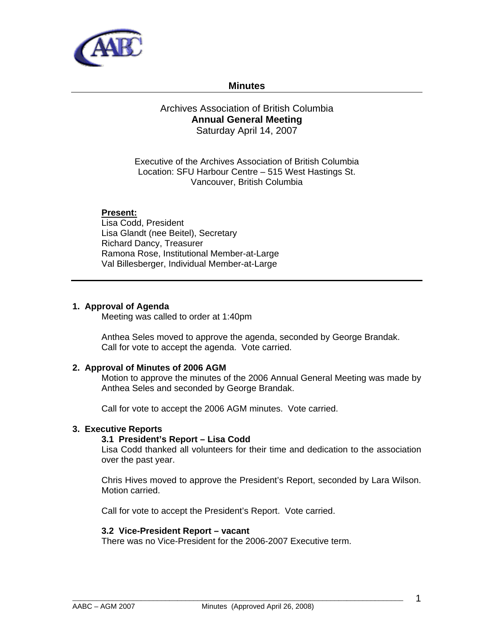

#### **Minutes**

#### Archives Association of British Columbia **Annual General Meeting**  Saturday April 14, 2007

Executive of the Archives Association of British Columbia Location: SFU Harbour Centre – 515 West Hastings St. Vancouver, British Columbia

#### **Present:**

Lisa Codd, President Lisa Glandt (nee Beitel), Secretary Richard Dancy, Treasurer Ramona Rose, Institutional Member-at-Large Val Billesberger, Individual Member-at-Large

#### **1. Approval of Agenda**

Meeting was called to order at 1:40pm

Anthea Seles moved to approve the agenda, seconded by George Brandak. Call for vote to accept the agenda. Vote carried.

#### **2. Approval of Minutes of 2006 AGM**

Motion to approve the minutes of the 2006 Annual General Meeting was made by Anthea Seles and seconded by George Brandak.

Call for vote to accept the 2006 AGM minutes. Vote carried.

#### **3. Executive Reports**

#### **3.1 President's Report – Lisa Codd**

Lisa Codd thanked all volunteers for their time and dedication to the association over the past year.

Chris Hives moved to approve the President's Report, seconded by Lara Wilson. Motion carried.

Call for vote to accept the President's Report. Vote carried.

#### **3.2 Vice-President Report – vacant**

There was no Vice-President for the 2006-2007 Executive term.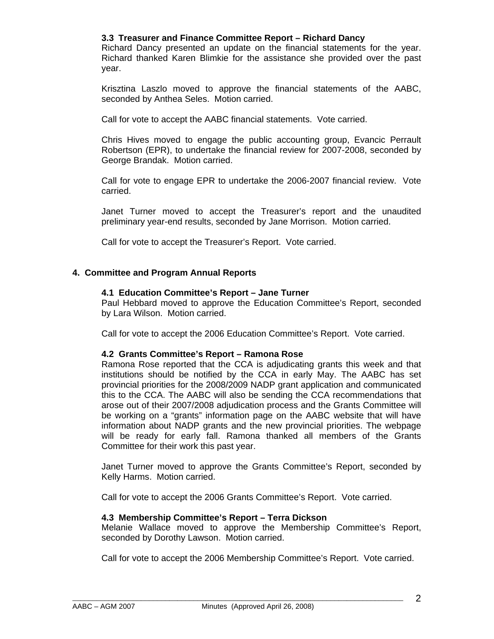#### **3.3 Treasurer and Finance Committee Report – Richard Dancy**

Richard Dancy presented an update on the financial statements for the year. Richard thanked Karen Blimkie for the assistance she provided over the past year.

Krisztina Laszlo moved to approve the financial statements of the AABC, seconded by Anthea Seles. Motion carried.

Call for vote to accept the AABC financial statements. Vote carried.

Chris Hives moved to engage the public accounting group, Evancic Perrault Robertson (EPR), to undertake the financial review for 2007-2008, seconded by George Brandak. Motion carried.

Call for vote to engage EPR to undertake the 2006-2007 financial review. Vote carried.

Janet Turner moved to accept the Treasurer's report and the unaudited preliminary year-end results, seconded by Jane Morrison. Motion carried.

Call for vote to accept the Treasurer's Report. Vote carried.

#### **4. Committee and Program Annual Reports**

#### **4.1 Education Committee's Report – Jane Turner**

Paul Hebbard moved to approve the Education Committee's Report, seconded by Lara Wilson. Motion carried.

Call for vote to accept the 2006 Education Committee's Report. Vote carried.

#### **4.2 Grants Committee's Report – Ramona Rose**

Ramona Rose reported that the CCA is adjudicating grants this week and that institutions should be notified by the CCA in early May. The AABC has set provincial priorities for the 2008/2009 NADP grant application and communicated this to the CCA. The AABC will also be sending the CCA recommendations that arose out of their 2007/2008 adjudication process and the Grants Committee will be working on a "grants" information page on the AABC website that will have information about NADP grants and the new provincial priorities. The webpage will be ready for early fall. Ramona thanked all members of the Grants Committee for their work this past year.

Janet Turner moved to approve the Grants Committee's Report, seconded by Kelly Harms. Motion carried.

Call for vote to accept the 2006 Grants Committee's Report. Vote carried.

#### **4.3 Membership Committee's Report – Terra Dickson**

Melanie Wallace moved to approve the Membership Committee's Report, seconded by Dorothy Lawson. Motion carried.

Call for vote to accept the 2006 Membership Committee's Report. Vote carried.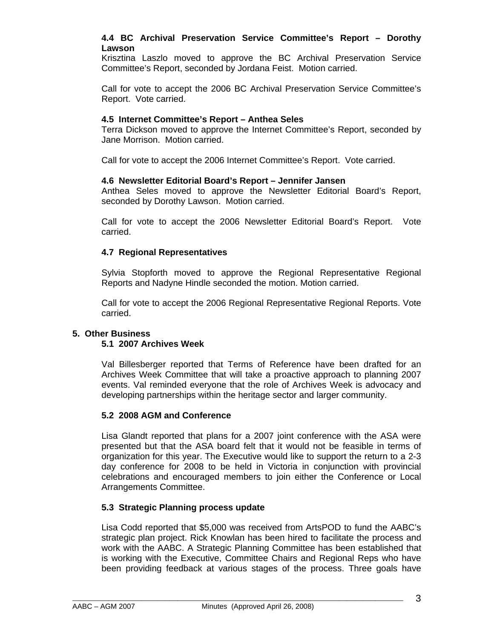#### **4.4 BC Archival Preservation Service Committee's Report – Dorothy Lawson**

Krisztina Laszlo moved to approve the BC Archival Preservation Service Committee's Report, seconded by Jordana Feist. Motion carried.

Call for vote to accept the 2006 BC Archival Preservation Service Committee's Report. Vote carried.

#### **4.5 Internet Committee's Report – Anthea Seles**

Terra Dickson moved to approve the Internet Committee's Report, seconded by Jane Morrison. Motion carried.

Call for vote to accept the 2006 Internet Committee's Report. Vote carried.

#### **4.6 Newsletter Editorial Board's Report – Jennifer Jansen**

Anthea Seles moved to approve the Newsletter Editorial Board's Report, seconded by Dorothy Lawson. Motion carried.

Call for vote to accept the 2006 Newsletter Editorial Board's Report. Vote carried.

#### **4.7 Regional Representatives**

Sylvia Stopforth moved to approve the Regional Representative Regional Reports and Nadyne Hindle seconded the motion. Motion carried.

Call for vote to accept the 2006 Regional Representative Regional Reports. Vote carried.

#### **5. Other Business**

#### **5.1 2007 Archives Week**

Val Billesberger reported that Terms of Reference have been drafted for an Archives Week Committee that will take a proactive approach to planning 2007 events. Val reminded everyone that the role of Archives Week is advocacy and developing partnerships within the heritage sector and larger community.

#### **5.2 2008 AGM and Conference**

Lisa Glandt reported that plans for a 2007 joint conference with the ASA were presented but that the ASA board felt that it would not be feasible in terms of organization for this year. The Executive would like to support the return to a 2-3 day conference for 2008 to be held in Victoria in conjunction with provincial celebrations and encouraged members to join either the Conference or Local Arrangements Committee.

#### **5.3 Strategic Planning process update**

Lisa Codd reported that \$5,000 was received from ArtsPOD to fund the AABC's strategic plan project. Rick Knowlan has been hired to facilitate the process and work with the AABC. A Strategic Planning Committee has been established that is working with the Executive, Committee Chairs and Regional Reps who have been providing feedback at various stages of the process. Three goals have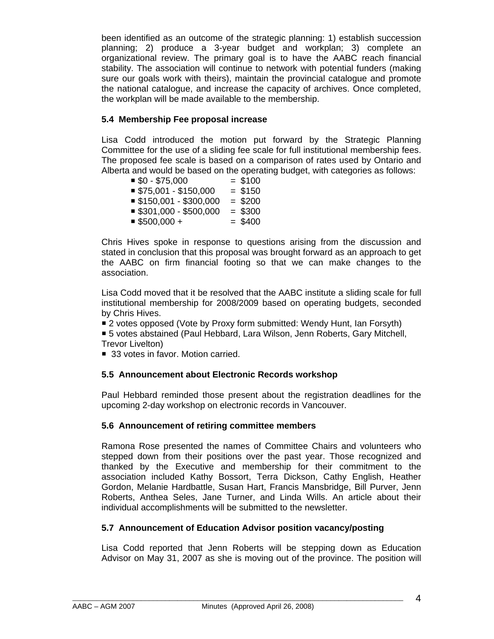been identified as an outcome of the strategic planning: 1) establish succession planning; 2) produce a 3-year budget and workplan; 3) complete an organizational review. The primary goal is to have the AABC reach financial stability. The association will continue to network with potential funders (making sure our goals work with theirs), maintain the provincial catalogue and promote the national catalogue, and increase the capacity of archives. Once completed, the workplan will be made available to the membership.

#### **5.4 Membership Fee proposal increase**

Lisa Codd introduced the motion put forward by the Strategic Planning Committee for the use of a sliding fee scale for full institutional membership fees. The proposed fee scale is based on a comparison of rates used by Ontario and Alberta and would be based on the operating budget, with categories as follows:

| $$0 - $75,000$        | $= $100$  |
|-----------------------|-----------|
| $$75,001 - $150,000$  | $= $150$  |
| $$150,001 - $300,000$ | $= $200$  |
| $$301,000 - $500,000$ | $=$ \$300 |
| $$500,000 +$          | $= $400$  |

Chris Hives spoke in response to questions arising from the discussion and stated in conclusion that this proposal was brought forward as an approach to get the AABC on firm financial footing so that we can make changes to the association.

Lisa Codd moved that it be resolved that the AABC institute a sliding scale for full institutional membership for 2008/2009 based on operating budgets, seconded by Chris Hives.

■ 2 votes opposed (Vote by Proxy form submitted: Wendy Hunt, Ian Forsyth)

 5 votes abstained (Paul Hebbard, Lara Wilson, Jenn Roberts, Gary Mitchell, Trevor Livelton)

■ 33 votes in favor. Motion carried.

# **5.5 Announcement about Electronic Records workshop**

Paul Hebbard reminded those present about the registration deadlines for the upcoming 2-day workshop on electronic records in Vancouver.

# **5.6 Announcement of retiring committee members**

Ramona Rose presented the names of Committee Chairs and volunteers who stepped down from their positions over the past year. Those recognized and thanked by the Executive and membership for their commitment to the association included Kathy Bossort, Terra Dickson, Cathy English, Heather Gordon, Melanie Hardbattle, Susan Hart, Francis Mansbridge, Bill Purver, Jenn Roberts, Anthea Seles, Jane Turner, and Linda Wills. An article about their individual accomplishments will be submitted to the newsletter.

# **5.7 Announcement of Education Advisor position vacancy/posting**

Lisa Codd reported that Jenn Roberts will be stepping down as Education Advisor on May 31, 2007 as she is moving out of the province. The position will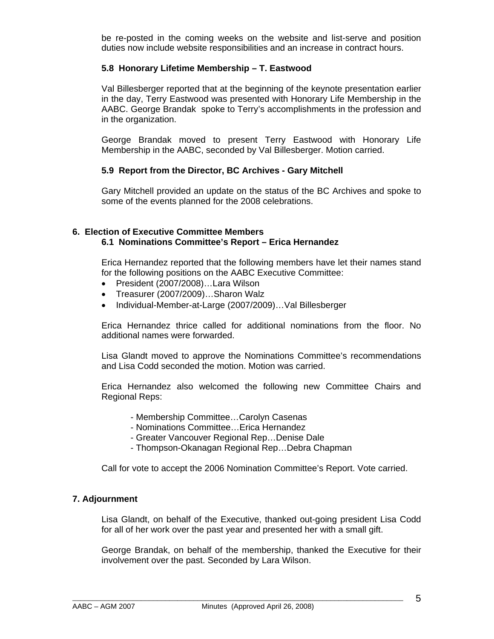be re-posted in the coming weeks on the website and list-serve and position duties now include website responsibilities and an increase in contract hours.

#### **5.8 Honorary Lifetime Membership – T. Eastwood**

Val Billesberger reported that at the beginning of the keynote presentation earlier in the day, Terry Eastwood was presented with Honorary Life Membership in the AABC. George Brandak spoke to Terry's accomplishments in the profession and in the organization.

George Brandak moved to present Terry Eastwood with Honorary Life Membership in the AABC, seconded by Val Billesberger. Motion carried.

#### **5.9 Report from the Director, BC Archives - Gary Mitchell**

Gary Mitchell provided an update on the status of the BC Archives and spoke to some of the events planned for the 2008 celebrations.

#### **6. Election of Executive Committee Members 6.1 Nominations Committee's Report – Erica Hernandez**

Erica Hernandez reported that the following members have let their names stand for the following positions on the AABC Executive Committee:

- President (2007/2008)…Lara Wilson
- Treasurer (2007/2009)…Sharon Walz
- Individual-Member-at-Large (2007/2009)…Val Billesberger

Erica Hernandez thrice called for additional nominations from the floor. No additional names were forwarded.

Lisa Glandt moved to approve the Nominations Committee's recommendations and Lisa Codd seconded the motion. Motion was carried.

Erica Hernandez also welcomed the following new Committee Chairs and Regional Reps:

- Membership Committee…Carolyn Casenas
- Nominations Committee…Erica Hernandez
- Greater Vancouver Regional Rep…Denise Dale
- Thompson-Okanagan Regional Rep…Debra Chapman

Call for vote to accept the 2006 Nomination Committee's Report. Vote carried.

#### **7. Adjournment**

Lisa Glandt, on behalf of the Executive, thanked out-going president Lisa Codd for all of her work over the past year and presented her with a small gift.

George Brandak, on behalf of the membership, thanked the Executive for their involvement over the past. Seconded by Lara Wilson.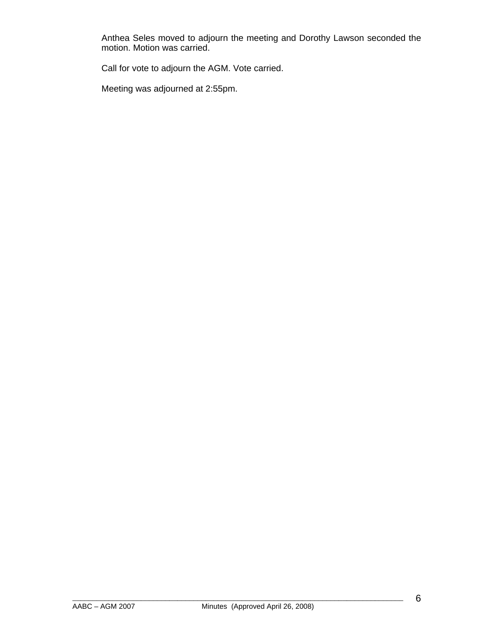Anthea Seles moved to adjourn the meeting and Dorothy Lawson seconded the motion. Motion was carried.

Call for vote to adjourn the AGM. Vote carried.

Meeting was adjourned at 2:55pm.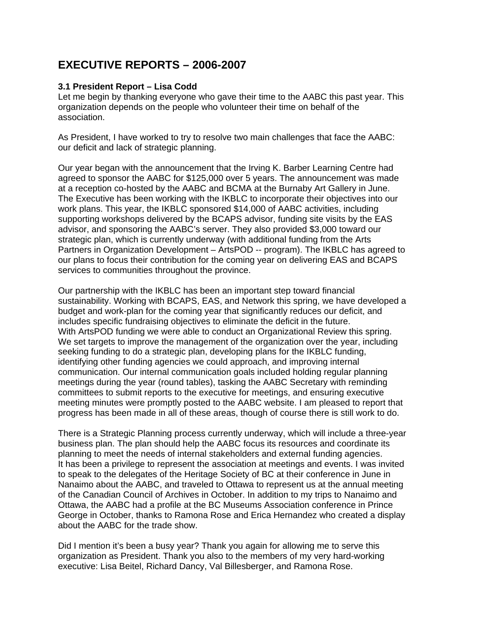# **EXECUTIVE REPORTS – 2006-2007**

#### **3.1 President Report – Lisa Codd**

Let me begin by thanking everyone who gave their time to the AABC this past year. This organization depends on the people who volunteer their time on behalf of the association.

As President, I have worked to try to resolve two main challenges that face the AABC: our deficit and lack of strategic planning.

Our year began with the announcement that the Irving K. Barber Learning Centre had agreed to sponsor the AABC for \$125,000 over 5 years. The announcement was made at a reception co-hosted by the AABC and BCMA at the Burnaby Art Gallery in June. The Executive has been working with the IKBLC to incorporate their objectives into our work plans. This year, the IKBLC sponsored \$14,000 of AABC activities, including supporting workshops delivered by the BCAPS advisor, funding site visits by the EAS advisor, and sponsoring the AABC's server. They also provided \$3,000 toward our strategic plan, which is currently underway (with additional funding from the Arts Partners in Organization Development – ArtsPOD -- program). The IKBLC has agreed to our plans to focus their contribution for the coming year on delivering EAS and BCAPS services to communities throughout the province.

Our partnership with the IKBLC has been an important step toward financial sustainability. Working with BCAPS, EAS, and Network this spring, we have developed a budget and work-plan for the coming year that significantly reduces our deficit, and includes specific fundraising objectives to eliminate the deficit in the future. With ArtsPOD funding we were able to conduct an Organizational Review this spring. We set targets to improve the management of the organization over the year, including seeking funding to do a strategic plan, developing plans for the IKBLC funding, identifying other funding agencies we could approach, and improving internal communication. Our internal communication goals included holding regular planning meetings during the year (round tables), tasking the AABC Secretary with reminding committees to submit reports to the executive for meetings, and ensuring executive meeting minutes were promptly posted to the AABC website. I am pleased to report that progress has been made in all of these areas, though of course there is still work to do.

There is a Strategic Planning process currently underway, which will include a three-year business plan. The plan should help the AABC focus its resources and coordinate its planning to meet the needs of internal stakeholders and external funding agencies. It has been a privilege to represent the association at meetings and events. I was invited to speak to the delegates of the Heritage Society of BC at their conference in June in Nanaimo about the AABC, and traveled to Ottawa to represent us at the annual meeting of the Canadian Council of Archives in October. In addition to my trips to Nanaimo and Ottawa, the AABC had a profile at the BC Museums Association conference in Prince George in October, thanks to Ramona Rose and Erica Hernandez who created a display about the AABC for the trade show.

Did I mention it's been a busy year? Thank you again for allowing me to serve this organization as President. Thank you also to the members of my very hard-working executive: Lisa Beitel, Richard Dancy, Val Billesberger, and Ramona Rose.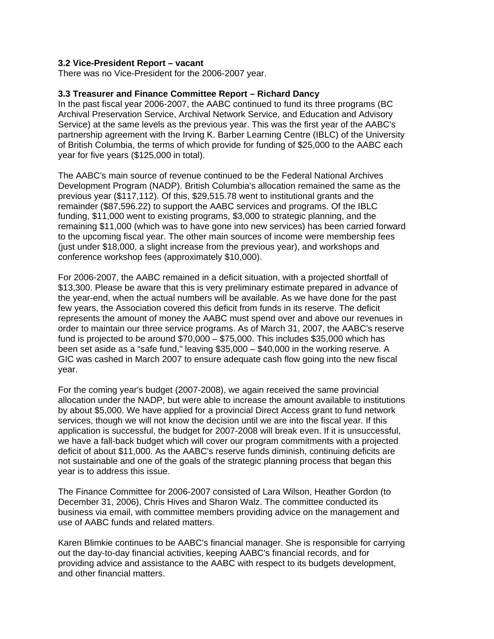#### **3.2 Vice-President Report – vacant**

There was no Vice-President for the 2006-2007 year.

#### **3.3 Treasurer and Finance Committee Report – Richard Dancy**

In the past fiscal year 2006-2007, the AABC continued to fund its three programs (BC Archival Preservation Service, Archival Network Service, and Education and Advisory Service) at the same levels as the previous year. This was the first year of the AABC's partnership agreement with the Irving K. Barber Learning Centre (IBLC) of the University of British Columbia, the terms of which provide for funding of \$25,000 to the AABC each year for five years (\$125,000 in total).

The AABC's main source of revenue continued to be the Federal National Archives Development Program (NADP). British Columbia's allocation remained the same as the previous year (\$117,112). Of this, \$29,515.78 went to institutional grants and the remainder (\$87,596.22) to support the AABC services and programs. Of the IBLC funding, \$11,000 went to existing programs, \$3,000 to strategic planning, and the remaining \$11,000 (which was to have gone into new services) has been carried forward to the upcoming fiscal year. The other main sources of income were membership fees (just under \$18,000, a slight increase from the previous year), and workshops and conference workshop fees (approximately \$10,000).

For 2006-2007, the AABC remained in a deficit situation, with a projected shortfall of \$13,300. Please be aware that this is very preliminary estimate prepared in advance of the year-end, when the actual numbers will be available. As we have done for the past few years, the Association covered this deficit from funds in its reserve. The deficit represents the amount of money the AABC must spend over and above our revenues in order to maintain our three service programs. As of March 31, 2007, the AABC's reserve fund is projected to be around \$70,000 – \$75,000. This includes \$35,000 which has been set aside as a "safe fund," leaving \$35,000 – \$40,000 in the working reserve. A GIC was cashed in March 2007 to ensure adequate cash flow going into the new fiscal year.

For the coming year's budget (2007-2008), we again received the same provincial allocation under the NADP, but were able to increase the amount available to institutions by about \$5,000. We have applied for a provincial Direct Access grant to fund network services, though we will not know the decision until we are into the fiscal year. If this application is successful, the budget for 2007-2008 will break even. If it is unsuccessful, we have a fall-back budget which will cover our program commitments with a projected deficit of about \$11,000. As the AABC's reserve funds diminish, continuing deficits are not sustainable and one of the goals of the strategic planning process that began this year is to address this issue.

The Finance Committee for 2006-2007 consisted of Lara Wilson, Heather Gordon (to December 31, 2006), Chris Hives and Sharon Walz. The committee conducted its business via email, with committee members providing advice on the management and use of AABC funds and related matters.

Karen Blimkie continues to be AABC's financial manager. She is responsible for carrying out the day-to-day financial activities, keeping AABC's financial records, and for providing advice and assistance to the AABC with respect to its budgets development, and other financial matters.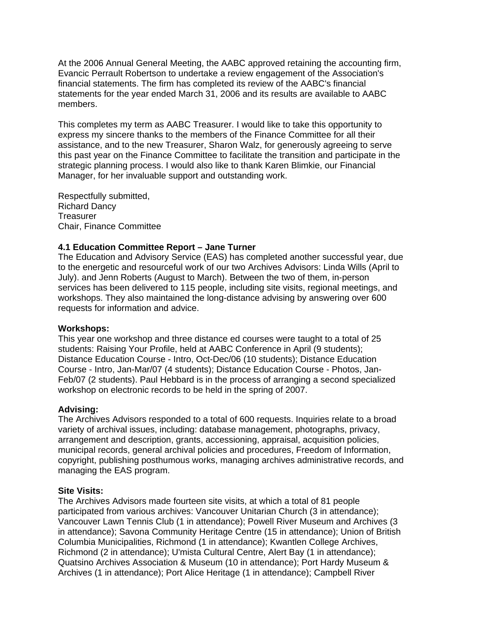At the 2006 Annual General Meeting, the AABC approved retaining the accounting firm, Evancic Perrault Robertson to undertake a review engagement of the Association's financial statements. The firm has completed its review of the AABC's financial statements for the year ended March 31, 2006 and its results are available to AABC members.

This completes my term as AABC Treasurer. I would like to take this opportunity to express my sincere thanks to the members of the Finance Committee for all their assistance, and to the new Treasurer, Sharon Walz, for generously agreeing to serve this past year on the Finance Committee to facilitate the transition and participate in the strategic planning process. I would also like to thank Karen Blimkie, our Financial Manager, for her invaluable support and outstanding work.

Respectfully submitted, Richard Dancy **Treasurer** Chair, Finance Committee

#### **4.1 Education Committee Report – Jane Turner**

The Education and Advisory Service (EAS) has completed another successful year, due to the energetic and resourceful work of our two Archives Advisors: Linda Wills (April to July). and Jenn Roberts (August to March). Between the two of them, in-person services has been delivered to 115 people, including site visits, regional meetings, and workshops. They also maintained the long-distance advising by answering over 600 requests for information and advice.

#### **Workshops:**

This year one workshop and three distance ed courses were taught to a total of 25 students: Raising Your Profile, held at AABC Conference in April (9 students); Distance Education Course - Intro, Oct-Dec/06 (10 students); Distance Education Course - Intro, Jan-Mar/07 (4 students); Distance Education Course - Photos, Jan-Feb/07 (2 students). Paul Hebbard is in the process of arranging a second specialized workshop on electronic records to be held in the spring of 2007.

#### **Advising:**

The Archives Advisors responded to a total of 600 requests. Inquiries relate to a broad variety of archival issues, including: database management, photographs, privacy, arrangement and description, grants, accessioning, appraisal, acquisition policies, municipal records, general archival policies and procedures, Freedom of Information, copyright, publishing posthumous works, managing archives administrative records, and managing the EAS program.

#### **Site Visits:**

The Archives Advisors made fourteen site visits, at which a total of 81 people participated from various archives: Vancouver Unitarian Church (3 in attendance); Vancouver Lawn Tennis Club (1 in attendance); Powell River Museum and Archives (3 in attendance); Savona Community Heritage Centre (15 in attendance); Union of British Columbia Municipalities, Richmond (1 in attendance); Kwantlen College Archives, Richmond (2 in attendance); U'mista Cultural Centre, Alert Bay (1 in attendance); Quatsino Archives Association & Museum (10 in attendance); Port Hardy Museum & Archives (1 in attendance); Port Alice Heritage (1 in attendance); Campbell River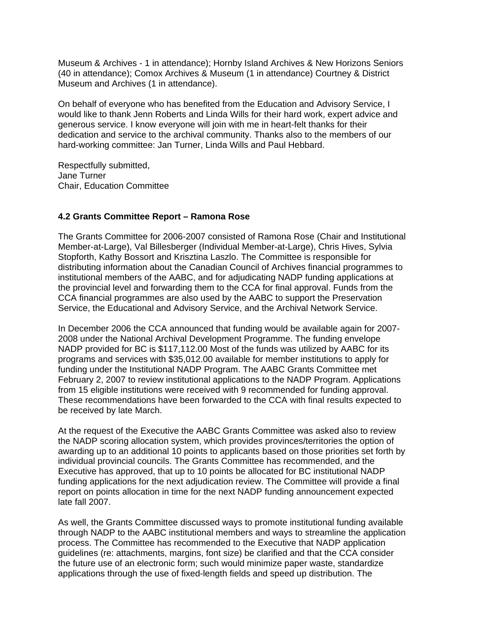Museum & Archives - 1 in attendance); Hornby Island Archives & New Horizons Seniors (40 in attendance); Comox Archives & Museum (1 in attendance) Courtney & District Museum and Archives (1 in attendance).

On behalf of everyone who has benefited from the Education and Advisory Service, I would like to thank Jenn Roberts and Linda Wills for their hard work, expert advice and generous service. I know everyone will join with me in heart-felt thanks for their dedication and service to the archival community. Thanks also to the members of our hard-working committee: Jan Turner, Linda Wills and Paul Hebbard.

Respectfully submitted, Jane Turner Chair, Education Committee

#### **4.2 Grants Committee Report – Ramona Rose**

The Grants Committee for 2006-2007 consisted of Ramona Rose (Chair and Institutional Member-at-Large), Val Billesberger (Individual Member-at-Large), Chris Hives, Sylvia Stopforth, Kathy Bossort and Krisztina Laszlo. The Committee is responsible for distributing information about the Canadian Council of Archives financial programmes to institutional members of the AABC, and for adjudicating NADP funding applications at the provincial level and forwarding them to the CCA for final approval. Funds from the CCA financial programmes are also used by the AABC to support the Preservation Service, the Educational and Advisory Service, and the Archival Network Service.

In December 2006 the CCA announced that funding would be available again for 2007- 2008 under the National Archival Development Programme. The funding envelope NADP provided for BC is \$117,112.00 Most of the funds was utilized by AABC for its programs and services with \$35,012.00 available for member institutions to apply for funding under the Institutional NADP Program. The AABC Grants Committee met February 2, 2007 to review institutional applications to the NADP Program. Applications from 15 eligible institutions were received with 9 recommended for funding approval. These recommendations have been forwarded to the CCA with final results expected to be received by late March.

At the request of the Executive the AABC Grants Committee was asked also to review the NADP scoring allocation system, which provides provinces/territories the option of awarding up to an additional 10 points to applicants based on those priorities set forth by individual provincial councils. The Grants Committee has recommended, and the Executive has approved, that up to 10 points be allocated for BC institutional NADP funding applications for the next adjudication review. The Committee will provide a final report on points allocation in time for the next NADP funding announcement expected late fall 2007.

As well, the Grants Committee discussed ways to promote institutional funding available through NADP to the AABC institutional members and ways to streamline the application process. The Committee has recommended to the Executive that NADP application guidelines (re: attachments, margins, font size) be clarified and that the CCA consider the future use of an electronic form; such would minimize paper waste, standardize applications through the use of fixed-length fields and speed up distribution. The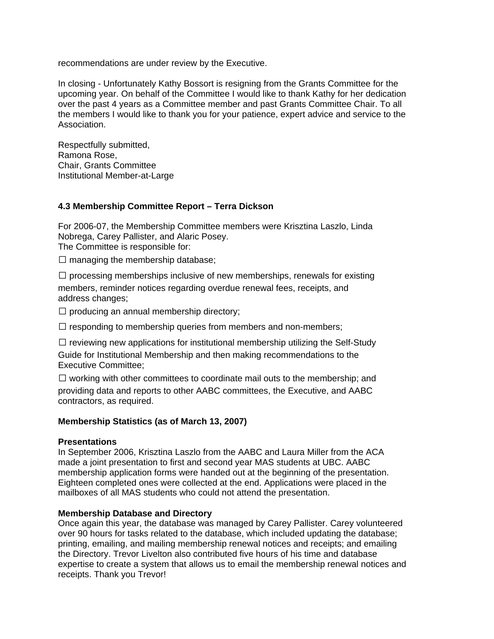recommendations are under review by the Executive.

In closing - Unfortunately Kathy Bossort is resigning from the Grants Committee for the upcoming year. On behalf of the Committee I would like to thank Kathy for her dedication over the past 4 years as a Committee member and past Grants Committee Chair. To all the members I would like to thank you for your patience, expert advice and service to the Association.

Respectfully submitted, Ramona Rose, Chair, Grants Committee Institutional Member-at-Large

#### **4.3 Membership Committee Report – Terra Dickson**

For 2006-07, the Membership Committee members were Krisztina Laszlo, Linda Nobrega, Carey Pallister, and Alaric Posey. The Committee is responsible for:

 $\square$  managing the membership database;

 $\Box$  processing memberships inclusive of new memberships, renewals for existing members, reminder notices regarding overdue renewal fees, receipts, and address changes;

 $\square$  producing an annual membership directory;

 $\Box$  responding to membership queries from members and non-members;

 $\Box$  reviewing new applications for institutional membership utilizing the Self-Study Guide for Institutional Membership and then making recommendations to the Executive Committee;

 $\Box$  working with other committees to coordinate mail outs to the membership; and providing data and reports to other AABC committees, the Executive, and AABC contractors, as required.

#### **Membership Statistics (as of March 13, 2007)**

#### **Presentations**

In September 2006, Krisztina Laszlo from the AABC and Laura Miller from the ACA made a joint presentation to first and second year MAS students at UBC. AABC membership application forms were handed out at the beginning of the presentation. Eighteen completed ones were collected at the end. Applications were placed in the mailboxes of all MAS students who could not attend the presentation.

#### **Membership Database and Directory**

Once again this year, the database was managed by Carey Pallister. Carey volunteered over 90 hours for tasks related to the database, which included updating the database; printing, emailing, and mailing membership renewal notices and receipts; and emailing the Directory. Trevor Livelton also contributed five hours of his time and database expertise to create a system that allows us to email the membership renewal notices and receipts. Thank you Trevor!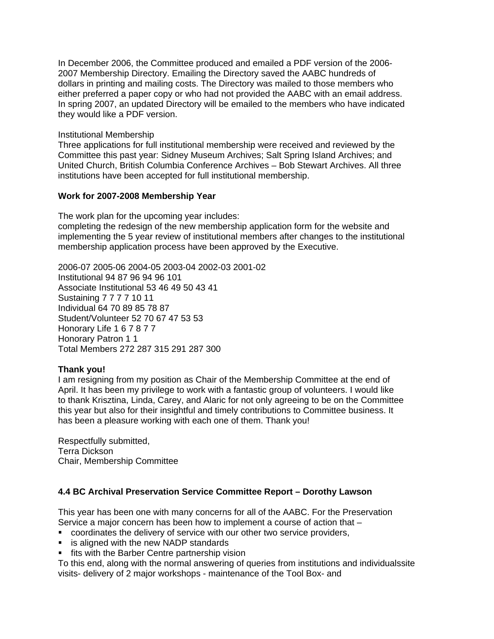In December 2006, the Committee produced and emailed a PDF version of the 2006- 2007 Membership Directory. Emailing the Directory saved the AABC hundreds of dollars in printing and mailing costs. The Directory was mailed to those members who either preferred a paper copy or who had not provided the AABC with an email address. In spring 2007, an updated Directory will be emailed to the members who have indicated they would like a PDF version.

#### Institutional Membership

Three applications for full institutional membership were received and reviewed by the Committee this past year: Sidney Museum Archives; Salt Spring Island Archives; and United Church, British Columbia Conference Archives – Bob Stewart Archives. All three institutions have been accepted for full institutional membership.

#### **Work for 2007-2008 Membership Year**

The work plan for the upcoming year includes:

completing the redesign of the new membership application form for the website and implementing the 5 year review of institutional members after changes to the institutional membership application process have been approved by the Executive.

2006-07 2005-06 2004-05 2003-04 2002-03 2001-02 Institutional 94 87 96 94 96 101 Associate Institutional 53 46 49 50 43 41 Sustaining 7 7 7 7 10 11 Individual 64 70 89 85 78 87 Student/Volunteer 52 70 67 47 53 53 Honorary Life 1 6 7 8 7 7 Honorary Patron 1 1 Total Members 272 287 315 291 287 300

#### **Thank you!**

I am resigning from my position as Chair of the Membership Committee at the end of April. It has been my privilege to work with a fantastic group of volunteers. I would like to thank Krisztina, Linda, Carey, and Alaric for not only agreeing to be on the Committee this year but also for their insightful and timely contributions to Committee business. It has been a pleasure working with each one of them. Thank you!

Respectfully submitted, Terra Dickson Chair, Membership Committee

# **4.4 BC Archival Preservation Service Committee Report – Dorothy Lawson**

This year has been one with many concerns for all of the AABC. For the Preservation Service a major concern has been how to implement a course of action that –

- coordinates the delivery of service with our other two service providers,
- **EXT** is aligned with the new NADP standards
- **fits with the Barber Centre partnership vision**

To this end, along with the normal answering of queries from institutions and individualssite visits- delivery of 2 major workshops - maintenance of the Tool Box- and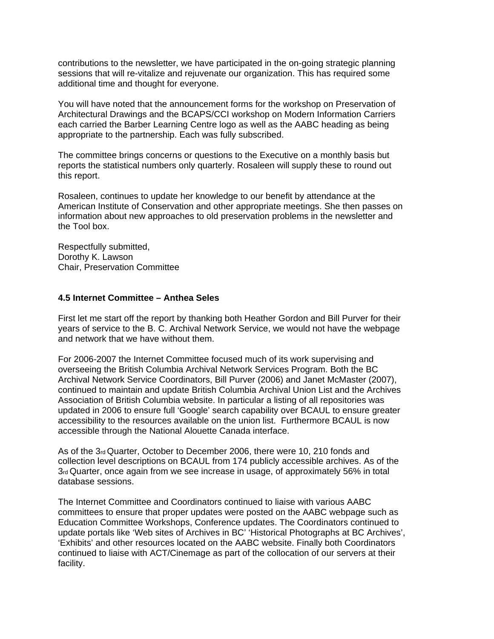contributions to the newsletter, we have participated in the on-going strategic planning sessions that will re-vitalize and rejuvenate our organization. This has required some additional time and thought for everyone.

You will have noted that the announcement forms for the workshop on Preservation of Architectural Drawings and the BCAPS/CCI workshop on Modern Information Carriers each carried the Barber Learning Centre logo as well as the AABC heading as being appropriate to the partnership. Each was fully subscribed.

The committee brings concerns or questions to the Executive on a monthly basis but reports the statistical numbers only quarterly. Rosaleen will supply these to round out this report.

Rosaleen, continues to update her knowledge to our benefit by attendance at the American Institute of Conservation and other appropriate meetings. She then passes on information about new approaches to old preservation problems in the newsletter and the Tool box.

Respectfully submitted, Dorothy K. Lawson Chair, Preservation Committee

#### **4.5 Internet Committee – Anthea Seles**

First let me start off the report by thanking both Heather Gordon and Bill Purver for their years of service to the B. C. Archival Network Service, we would not have the webpage and network that we have without them.

For 2006-2007 the Internet Committee focused much of its work supervising and overseeing the British Columbia Archival Network Services Program. Both the BC Archival Network Service Coordinators, Bill Purver (2006) and Janet McMaster (2007), continued to maintain and update British Columbia Archival Union List and the Archives Association of British Columbia website. In particular a listing of all repositories was updated in 2006 to ensure full 'Google' search capability over BCAUL to ensure greater accessibility to the resources available on the union list. Furthermore BCAUL is now accessible through the National Alouette Canada interface.

As of the 3rd Quarter, October to December 2006, there were 10, 210 fonds and collection level descriptions on BCAUL from 174 publicly accessible archives. As of the 3rd Quarter, once again from we see increase in usage, of approximately 56% in total database sessions.

The Internet Committee and Coordinators continued to liaise with various AABC committees to ensure that proper updates were posted on the AABC webpage such as Education Committee Workshops, Conference updates. The Coordinators continued to update portals like 'Web sites of Archives in BC' 'Historical Photographs at BC Archives', 'Exhibits' and other resources located on the AABC website. Finally both Coordinators continued to liaise with ACT/Cinemage as part of the collocation of our servers at their facility.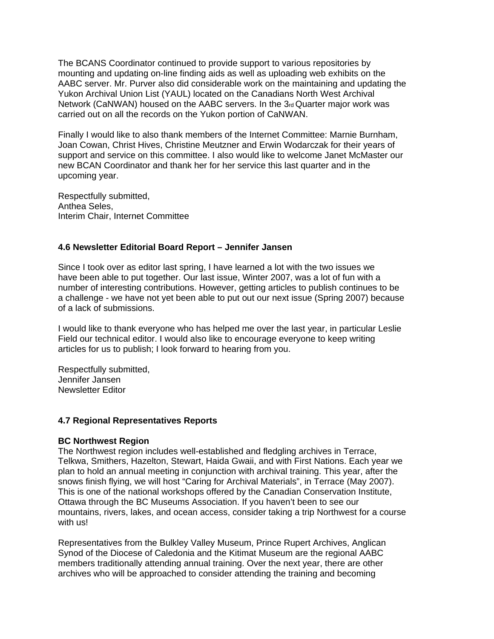The BCANS Coordinator continued to provide support to various repositories by mounting and updating on-line finding aids as well as uploading web exhibits on the AABC server. Mr. Purver also did considerable work on the maintaining and updating the Yukon Archival Union List (YAUL) located on the Canadians North West Archival Network (CaNWAN) housed on the AABC servers. In the  $3<sub>rd</sub>$  Quarter major work was carried out on all the records on the Yukon portion of CaNWAN.

Finally I would like to also thank members of the Internet Committee: Marnie Burnham, Joan Cowan, Christ Hives, Christine Meutzner and Erwin Wodarczak for their years of support and service on this committee. I also would like to welcome Janet McMaster our new BCAN Coordinator and thank her for her service this last quarter and in the upcoming year.

Respectfully submitted, Anthea Seles, Interim Chair, Internet Committee

#### **4.6 Newsletter Editorial Board Report – Jennifer Jansen**

Since I took over as editor last spring, I have learned a lot with the two issues we have been able to put together. Our last issue, Winter 2007, was a lot of fun with a number of interesting contributions. However, getting articles to publish continues to be a challenge - we have not yet been able to put out our next issue (Spring 2007) because of a lack of submissions.

I would like to thank everyone who has helped me over the last year, in particular Leslie Field our technical editor. I would also like to encourage everyone to keep writing articles for us to publish; I look forward to hearing from you.

Respectfully submitted, Jennifer Jansen Newsletter Editor

#### **4.7 Regional Representatives Reports**

#### **BC Northwest Region**

The Northwest region includes well-established and fledgling archives in Terrace, Telkwa, Smithers, Hazelton, Stewart, Haida Gwaii, and with First Nations. Each year we plan to hold an annual meeting in conjunction with archival training. This year, after the snows finish flying, we will host "Caring for Archival Materials", in Terrace (May 2007). This is one of the national workshops offered by the Canadian Conservation Institute, Ottawa through the BC Museums Association. If you haven't been to see our mountains, rivers, lakes, and ocean access, consider taking a trip Northwest for a course with us!

Representatives from the Bulkley Valley Museum, Prince Rupert Archives, Anglican Synod of the Diocese of Caledonia and the Kitimat Museum are the regional AABC members traditionally attending annual training. Over the next year, there are other archives who will be approached to consider attending the training and becoming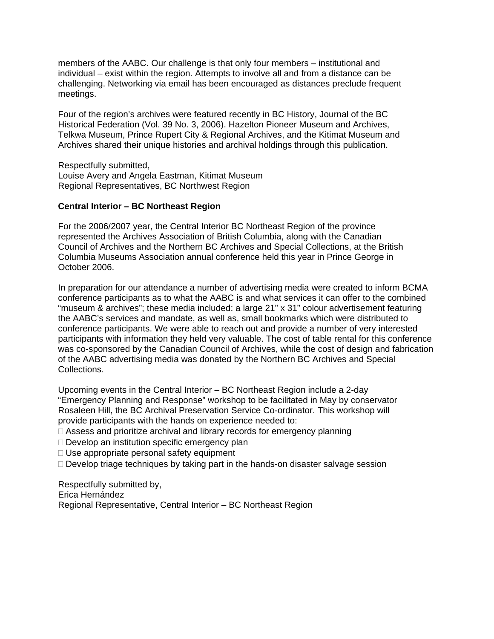members of the AABC. Our challenge is that only four members – institutional and individual – exist within the region. Attempts to involve all and from a distance can be challenging. Networking via email has been encouraged as distances preclude frequent meetings.

Four of the region's archives were featured recently in BC History, Journal of the BC Historical Federation (Vol. 39 No. 3, 2006). Hazelton Pioneer Museum and Archives, Telkwa Museum, Prince Rupert City & Regional Archives, and the Kitimat Museum and Archives shared their unique histories and archival holdings through this publication.

Respectfully submitted, Louise Avery and Angela Eastman, Kitimat Museum Regional Representatives, BC Northwest Region

#### **Central Interior – BC Northeast Region**

For the 2006/2007 year, the Central Interior BC Northeast Region of the province represented the Archives Association of British Columbia, along with the Canadian Council of Archives and the Northern BC Archives and Special Collections, at the British Columbia Museums Association annual conference held this year in Prince George in October 2006.

In preparation for our attendance a number of advertising media were created to inform BCMA conference participants as to what the AABC is and what services it can offer to the combined "museum & archives"; these media included: a large 21" x 31" colour advertisement featuring the AABC's services and mandate, as well as, small bookmarks which were distributed to conference participants. We were able to reach out and provide a number of very interested participants with information they held very valuable. The cost of table rental for this conference was co-sponsored by the Canadian Council of Archives, while the cost of design and fabrication of the AABC advertising media was donated by the Northern BC Archives and Special Collections.

Upcoming events in the Central Interior – BC Northeast Region include a 2-day "Emergency Planning and Response" workshop to be facilitated in May by conservator Rosaleen Hill, the BC Archival Preservation Service Co-ordinator. This workshop will provide participants with the hands on experience needed to:

- □ Assess and prioritize archival and library records for emergency planning
- $\Box$  Develop an institution specific emergency plan
- $\Box$  Use appropriate personal safety equipment
- $\Box$  Develop triage techniques by taking part in the hands-on disaster salvage session

Respectfully submitted by, Erica Hernández Regional Representative, Central Interior – BC Northeast Region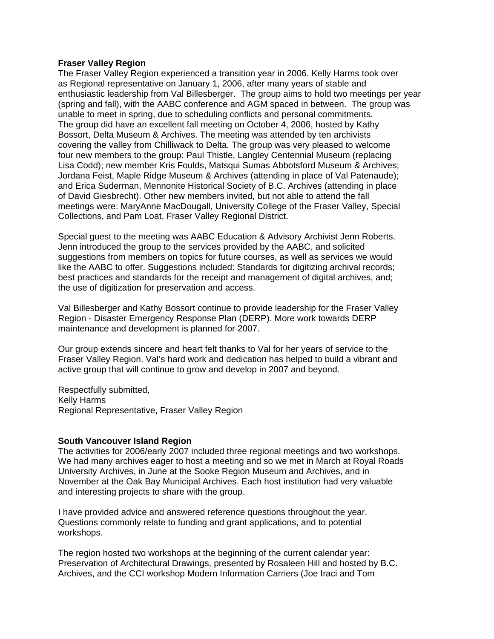#### **Fraser Valley Region**

The Fraser Valley Region experienced a transition year in 2006. Kelly Harms took over as Regional representative on January 1, 2006, after many years of stable and enthusiastic leadership from Val Billesberger. The group aims to hold two meetings per year (spring and fall), with the AABC conference and AGM spaced in between. The group was unable to meet in spring, due to scheduling conflicts and personal commitments. The group did have an excellent fall meeting on October 4, 2006, hosted by Kathy Bossort, Delta Museum & Archives. The meeting was attended by ten archivists covering the valley from Chilliwack to Delta. The group was very pleased to welcome four new members to the group: Paul Thistle, Langley Centennial Museum (replacing Lisa Codd); new member Kris Foulds, Matsqui Sumas Abbotsford Museum & Archives; Jordana Feist, Maple Ridge Museum & Archives (attending in place of Val Patenaude); and Erica Suderman, Mennonite Historical Society of B.C. Archives (attending in place of David Giesbrecht). Other new members invited, but not able to attend the fall meetings were: MaryAnne MacDougall, University College of the Fraser Valley, Special Collections, and Pam Loat, Fraser Valley Regional District.

Special guest to the meeting was AABC Education & Advisory Archivist Jenn Roberts. Jenn introduced the group to the services provided by the AABC, and solicited suggestions from members on topics for future courses, as well as services we would like the AABC to offer. Suggestions included: Standards for digitizing archival records; best practices and standards for the receipt and management of digital archives, and; the use of digitization for preservation and access.

Val Billesberger and Kathy Bossort continue to provide leadership for the Fraser Valley Region - Disaster Emergency Response Plan (DERP). More work towards DERP maintenance and development is planned for 2007.

Our group extends sincere and heart felt thanks to Val for her years of service to the Fraser Valley Region. Val's hard work and dedication has helped to build a vibrant and active group that will continue to grow and develop in 2007 and beyond.

Respectfully submitted, Kelly Harms Regional Representative, Fraser Valley Region

#### **South Vancouver Island Region**

The activities for 2006/early 2007 included three regional meetings and two workshops. We had many archives eager to host a meeting and so we met in March at Royal Roads University Archives, in June at the Sooke Region Museum and Archives, and in November at the Oak Bay Municipal Archives. Each host institution had very valuable and interesting projects to share with the group.

I have provided advice and answered reference questions throughout the year. Questions commonly relate to funding and grant applications, and to potential workshops.

The region hosted two workshops at the beginning of the current calendar year: Preservation of Architectural Drawings, presented by Rosaleen Hill and hosted by B.C. Archives, and the CCI workshop Modern Information Carriers (Joe Iraci and Tom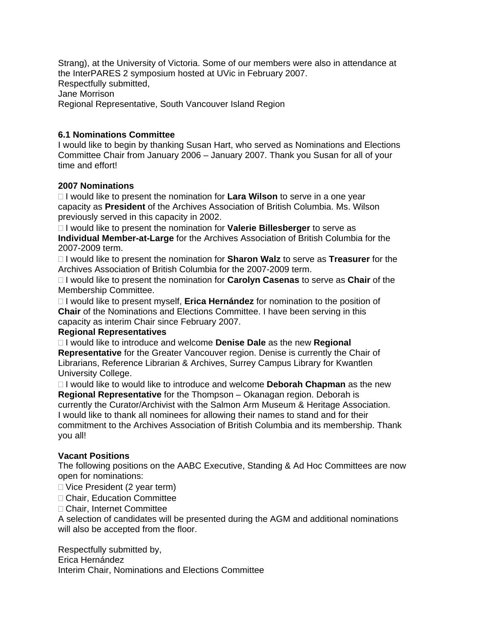Strang), at the University of Victoria. Some of our members were also in attendance at the InterPARES 2 symposium hosted at UVic in February 2007. Respectfully submitted, Jane Morrison Regional Representative, South Vancouver Island Region

#### **6.1 Nominations Committee**

I would like to begin by thanking Susan Hart, who served as Nominations and Elections Committee Chair from January 2006 – January 2007. Thank you Susan for all of your time and effort!

#### **2007 Nominations**

 I would like to present the nomination for **Lara Wilson** to serve in a one year capacity as **President** of the Archives Association of British Columbia. Ms. Wilson previously served in this capacity in 2002.

 I would like to present the nomination for **Valerie Billesberger** to serve as **Individual Member-at-Large** for the Archives Association of British Columbia for the 2007-2009 term.

 I would like to present the nomination for **Sharon Walz** to serve as **Treasurer** for the Archives Association of British Columbia for the 2007-2009 term.

 I would like to present the nomination for **Carolyn Casenas** to serve as **Chair** of the Membership Committee.

 I would like to present myself, **Erica Hernández** for nomination to the position of **Chair** of the Nominations and Elections Committee. I have been serving in this capacity as interim Chair since February 2007.

#### **Regional Representatives**

 I would like to introduce and welcome **Denise Dale** as the new **Regional Representative** for the Greater Vancouver region. Denise is currently the Chair of Librarians, Reference Librarian & Archives, Surrey Campus Library for Kwantlen University College.

 I would like to would like to introduce and welcome **Deborah Chapman** as the new **Regional Representative** for the Thompson – Okanagan region. Deborah is currently the Curator/Archivist with the Salmon Arm Museum & Heritage Association. I would like to thank all nominees for allowing their names to stand and for their commitment to the Archives Association of British Columbia and its membership. Thank you all!

#### **Vacant Positions**

The following positions on the AABC Executive, Standing & Ad Hoc Committees are now open for nominations:

 $\Box$  Vice President (2 year term)

□ Chair, Education Committee

□ Chair, Internet Committee

A selection of candidates will be presented during the AGM and additional nominations will also be accepted from the floor.

Respectfully submitted by, Erica Hernández Interim Chair, Nominations and Elections Committee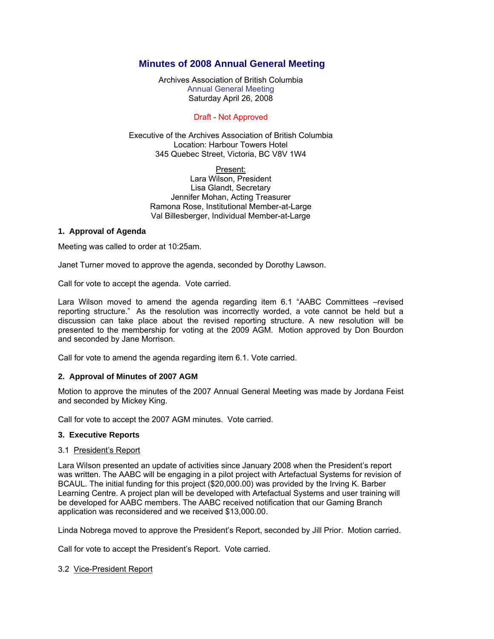#### **Minutes of 2008 Annual General Meeting**

Archives Association of British Columbia Annual General Meeting Saturday April 26, 2008

#### Draft - Not Approved

#### Executive of the Archives Association of British Columbia Location: Harbour Towers Hotel 345 Quebec Street, Victoria, BC V8V 1W4

Present: Lara Wilson, President Lisa Glandt, Secretary Jennifer Mohan, Acting Treasurer Ramona Rose, Institutional Member-at-Large Val Billesberger, Individual Member-at-Large

#### **1. Approval of Agenda**

Meeting was called to order at 10:25am.

Janet Turner moved to approve the agenda, seconded by Dorothy Lawson.

Call for vote to accept the agenda. Vote carried.

Lara Wilson moved to amend the agenda regarding item 6.1 "AABC Committees –revised reporting structure." As the resolution was incorrectly worded, a vote cannot be held but a discussion can take place about the revised reporting structure. A new resolution will be presented to the membership for voting at the 2009 AGM. Motion approved by Don Bourdon and seconded by Jane Morrison.

Call for vote to amend the agenda regarding item 6.1. Vote carried.

#### **2. Approval of Minutes of 2007 AGM**

Motion to approve the minutes of the 2007 Annual General Meeting was made by Jordana Feist and seconded by Mickey King.

Call for vote to accept the 2007 AGM minutes. Vote carried.

#### **3. Executive Reports**

#### 3.1 President's Report

Lara Wilson presented an update of activities since January 2008 when the President's report was written. The AABC will be engaging in a pilot project with Artefactual Systems for revision of BCAUL. The initial funding for this project (\$20,000.00) was provided by the Irving K. Barber Learning Centre. A project plan will be developed with Artefactual Systems and user training will be developed for AABC members. The AABC received notification that our Gaming Branch application was reconsidered and we received \$13,000.00.

Linda Nobrega moved to approve the President's Report, seconded by Jill Prior. Motion carried.

Call for vote to accept the President's Report. Vote carried.

3.2 Vice-President Report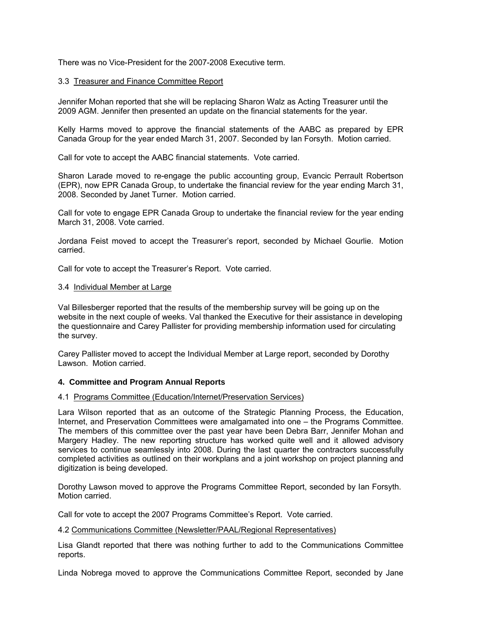There was no Vice-President for the 2007-2008 Executive term.

#### 3.3 Treasurer and Finance Committee Report

Jennifer Mohan reported that she will be replacing Sharon Walz as Acting Treasurer until the 2009 AGM. Jennifer then presented an update on the financial statements for the year.

Kelly Harms moved to approve the financial statements of the AABC as prepared by EPR Canada Group for the year ended March 31, 2007. Seconded by Ian Forsyth. Motion carried.

Call for vote to accept the AABC financial statements. Vote carried.

Sharon Larade moved to re-engage the public accounting group, Evancic Perrault Robertson (EPR), now EPR Canada Group, to undertake the financial review for the year ending March 31, 2008. Seconded by Janet Turner. Motion carried.

Call for vote to engage EPR Canada Group to undertake the financial review for the year ending March 31, 2008. Vote carried.

Jordana Feist moved to accept the Treasurer's report, seconded by Michael Gourlie. Motion carried.

Call for vote to accept the Treasurer's Report. Vote carried.

#### 3.4 Individual Member at Large

Val Billesberger reported that the results of the membership survey will be going up on the website in the next couple of weeks. Val thanked the Executive for their assistance in developing the questionnaire and Carey Pallister for providing membership information used for circulating the survey.

Carey Pallister moved to accept the Individual Member at Large report, seconded by Dorothy Lawson. Motion carried.

#### **4. Committee and Program Annual Reports**

#### 4.1 Programs Committee (Education/Internet/Preservation Services)

Lara Wilson reported that as an outcome of the Strategic Planning Process, the Education, Internet, and Preservation Committees were amalgamated into one – the Programs Committee. The members of this committee over the past year have been Debra Barr, Jennifer Mohan and Margery Hadley. The new reporting structure has worked quite well and it allowed advisory services to continue seamlessly into 2008. During the last quarter the contractors successfully completed activities as outlined on their workplans and a joint workshop on project planning and digitization is being developed.

Dorothy Lawson moved to approve the Programs Committee Report, seconded by Ian Forsyth. Motion carried.

Call for vote to accept the 2007 Programs Committee's Report. Vote carried.

#### 4.2 Communications Committee (Newsletter/PAAL/Regional Representatives)

Lisa Glandt reported that there was nothing further to add to the Communications Committee reports.

Linda Nobrega moved to approve the Communications Committee Report, seconded by Jane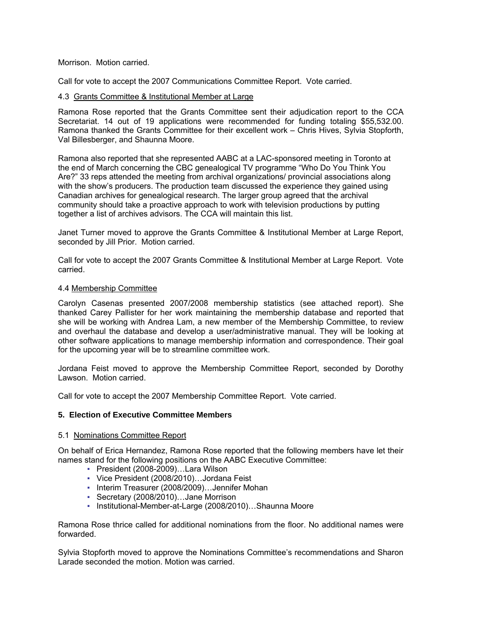#### Morrison. Motion carried.

Call for vote to accept the 2007 Communications Committee Report. Vote carried.

#### 4.3 Grants Committee & Institutional Member at Large

Ramona Rose reported that the Grants Committee sent their adjudication report to the CCA Secretariat. 14 out of 19 applications were recommended for funding totaling \$55,532.00. Ramona thanked the Grants Committee for their excellent work – Chris Hives, Sylvia Stopforth, Val Billesberger, and Shaunna Moore.

Ramona also reported that she represented AABC at a LAC-sponsored meeting in Toronto at the end of March concerning the CBC genealogical TV programme "Who Do You Think You Are?" 33 reps attended the meeting from archival organizations/ provincial associations along with the show's producers. The production team discussed the experience they gained using Canadian archives for genealogical research. The larger group agreed that the archival community should take a proactive approach to work with television productions by putting together a list of archives advisors. The CCA will maintain this list.

Janet Turner moved to approve the Grants Committee & Institutional Member at Large Report, seconded by Jill Prior. Motion carried.

Call for vote to accept the 2007 Grants Committee & Institutional Member at Large Report. Vote carried.

#### 4.4 Membership Committee

Carolyn Casenas presented 2007/2008 membership statistics (see attached report). She thanked Carey Pallister for her work maintaining the membership database and reported that she will be working with Andrea Lam, a new member of the Membership Committee, to review and overhaul the database and develop a user/administrative manual. They will be looking at other software applications to manage membership information and correspondence. Their goal for the upcoming year will be to streamline committee work.

Jordana Feist moved to approve the Membership Committee Report, seconded by Dorothy Lawson. Motion carried.

Call for vote to accept the 2007 Membership Committee Report. Vote carried.

#### **5. Election of Executive Committee Members**

#### 5.1 Nominations Committee Report

On behalf of Erica Hernandez, Ramona Rose reported that the following members have let their names stand for the following positions on the AABC Executive Committee:

- President (2008-2009)…Lara Wilson
- Vice President (2008/2010)…Jordana Feist
- Interim Treasurer (2008/2009)…Jennifer Mohan
- Secretary (2008/2010)…Jane Morrison
- Institutional-Member-at-Large (2008/2010)…Shaunna Moore

Ramona Rose thrice called for additional nominations from the floor. No additional names were forwarded.

Sylvia Stopforth moved to approve the Nominations Committee's recommendations and Sharon Larade seconded the motion. Motion was carried.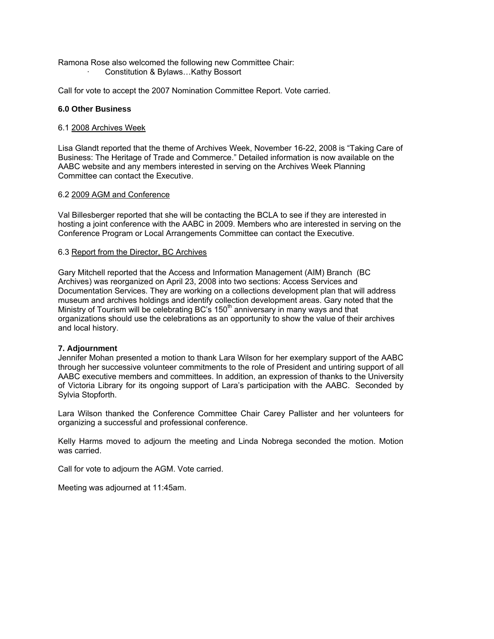Ramona Rose also welcomed the following new Committee Chair: · Constitution & Bylaws…Kathy Bossort

Call for vote to accept the 2007 Nomination Committee Report. Vote carried.

#### **6.0 Other Business**

#### 6.1 2008 Archives Week

Lisa Glandt reported that the theme of Archives Week, November 16-22, 2008 is "Taking Care of Business: The Heritage of Trade and Commerce." Detailed information is now available on the AABC website and any members interested in serving on the Archives Week Planning Committee can contact the Executive.

#### 6.2 2009 AGM and Conference

Val Billesberger reported that she will be contacting the BCLA to see if they are interested in hosting a joint conference with the AABC in 2009. Members who are interested in serving on the Conference Program or Local Arrangements Committee can contact the Executive.

#### 6.3 Report from the Director, BC Archives

Gary Mitchell reported that the Access and Information Management (AIM) Branch (BC Archives) was reorganized on April 23, 2008 into two sections: Access Services and Documentation Services. They are working on a collections development plan that will address museum and archives holdings and identify collection development areas. Gary noted that the Ministry of Tourism will be celebrating BC's  $150<sup>th</sup>$  anniversary in many ways and that organizations should use the celebrations as an opportunity to show the value of their archives and local history.

#### **7. Adjournment**

Jennifer Mohan presented a motion to thank Lara Wilson for her exemplary support of the AABC through her successive volunteer commitments to the role of President and untiring support of all AABC executive members and committees. In addition, an expression of thanks to the University of Victoria Library for its ongoing support of Lara's participation with the AABC. Seconded by Sylvia Stopforth.

Lara Wilson thanked the Conference Committee Chair Carey Pallister and her volunteers for organizing a successful and professional conference.

Kelly Harms moved to adjourn the meeting and Linda Nobrega seconded the motion. Motion was carried.

Call for vote to adjourn the AGM. Vote carried.

Meeting was adjourned at 11:45am.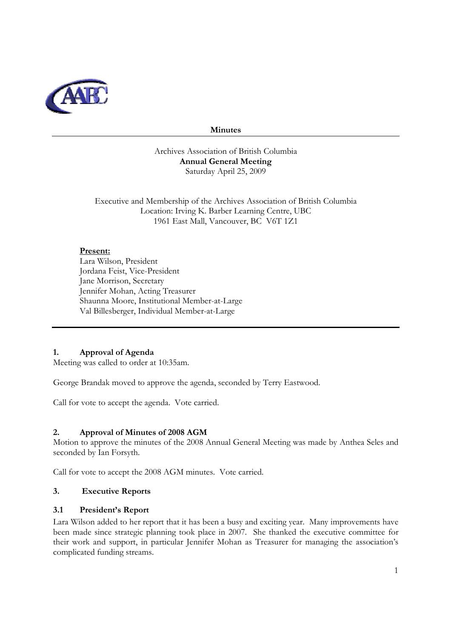

#### **Minutes**

Archives Association of British Columbia **Annual General Meeting**  Saturday April 25, 2009

Executive and Membership of the Archives Association of British Columbia Location: Irving K. Barber Learning Centre, UBC 1961 East Mall, Vancouver, BC V6T 1Z1

#### **Present:**

Lara Wilson, President Jordana Feist, Vice-President Jane Morrison, Secretary Jennifer Mohan, Acting Treasurer Shaunna Moore, Institutional Member-at-Large Val Billesberger, Individual Member-at-Large

# **1. Approval of Agenda**

Meeting was called to order at 10:35am.

George Brandak moved to approve the agenda, seconded by Terry Eastwood.

Call for vote to accept the agenda. Vote carried.

#### **2. Approval of Minutes of 2008 AGM**

Motion to approve the minutes of the 2008 Annual General Meeting was made by Anthea Seles and seconded by Ian Forsyth.

Call for vote to accept the 2008 AGM minutes. Vote carried.

#### **3. Executive Reports**

#### **3.1 President's Report**

Lara Wilson added to her report that it has been a busy and exciting year. Many improvements have been made since strategic planning took place in 2007. She thanked the executive committee for their work and support, in particular Jennifer Mohan as Treasurer for managing the association's complicated funding streams.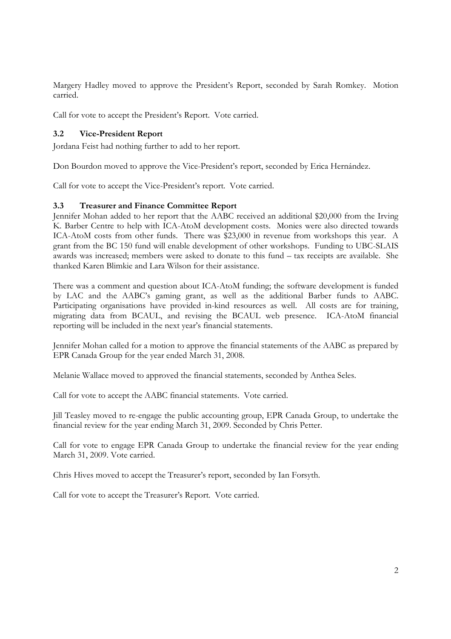Margery Hadley moved to approve the President's Report, seconded by Sarah Romkey. Motion carried.

Call for vote to accept the President's Report. Vote carried.

#### **3.2 Vice-President Report**

Jordana Feist had nothing further to add to her report.

Don Bourdon moved to approve the Vice-President's report, seconded by Erica Hernández.

Call for vote to accept the Vice-President's report. Vote carried.

#### **3.3 Treasurer and Finance Committee Report**

Jennifer Mohan added to her report that the AABC received an additional \$20,000 from the Irving K. Barber Centre to help with ICA-AtoM development costs. Monies were also directed towards ICA-AtoM costs from other funds. There was \$23,000 in revenue from workshops this year. A grant from the BC 150 fund will enable development of other workshops. Funding to UBC-SLAIS awards was increased; members were asked to donate to this fund – tax receipts are available. She thanked Karen Blimkie and Lara Wilson for their assistance.

There was a comment and question about ICA-AtoM funding; the software development is funded by LAC and the AABC's gaming grant, as well as the additional Barber funds to AABC. Participating organisations have provided in-kind resources as well. All costs are for training, migrating data from BCAUL, and revising the BCAUL web presence. ICA-AtoM financial reporting will be included in the next year's financial statements.

Jennifer Mohan called for a motion to approve the financial statements of the AABC as prepared by EPR Canada Group for the year ended March 31, 2008.

Melanie Wallace moved to approved the financial statements, seconded by Anthea Seles.

Call for vote to accept the AABC financial statements. Vote carried.

Jill Teasley moved to re-engage the public accounting group, EPR Canada Group, to undertake the financial review for the year ending March 31, 2009. Seconded by Chris Petter.

Call for vote to engage EPR Canada Group to undertake the financial review for the year ending March 31, 2009. Vote carried.

Chris Hives moved to accept the Treasurer's report, seconded by Ian Forsyth.

Call for vote to accept the Treasurer's Report. Vote carried.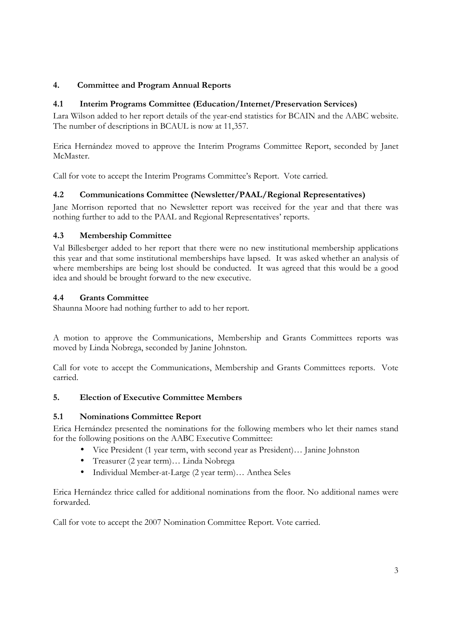# **4. Committee and Program Annual Reports**

#### **4.1 Interim Programs Committee (Education/Internet/Preservation Services)**

Lara Wilson added to her report details of the year-end statistics for BCAIN and the AABC website. The number of descriptions in BCAUL is now at 11,357.

Erica Hernández moved to approve the Interim Programs Committee Report, seconded by Janet McMaster.

Call for vote to accept the Interim Programs Committee's Report. Vote carried.

#### **4.2 Communications Committee (Newsletter/PAAL/Regional Representatives)**

Jane Morrison reported that no Newsletter report was received for the year and that there was nothing further to add to the PAAL and Regional Representatives' reports.

#### **4.3 Membership Committee**

Val Billesberger added to her report that there were no new institutional membership applications this year and that some institutional memberships have lapsed. It was asked whether an analysis of where memberships are being lost should be conducted. It was agreed that this would be a good idea and should be brought forward to the new executive.

#### **4.4 Grants Committee**

Shaunna Moore had nothing further to add to her report.

A motion to approve the Communications, Membership and Grants Committees reports was moved by Linda Nobrega, seconded by Janine Johnston.

Call for vote to accept the Communications, Membership and Grants Committees reports. Vote carried.

#### **5. Election of Executive Committee Members**

#### **5.1 Nominations Committee Report**

Erica Hernández presented the nominations for the following members who let their names stand for the following positions on the AABC Executive Committee:

- Vice President (1 year term, with second year as President)… Janine Johnston
- Treasurer (2 year term)… Linda Nobrega
- Individual Member-at-Large (2 year term)… Anthea Seles

Erica Hernández thrice called for additional nominations from the floor. No additional names were forwarded.

Call for vote to accept the 2007 Nomination Committee Report. Vote carried.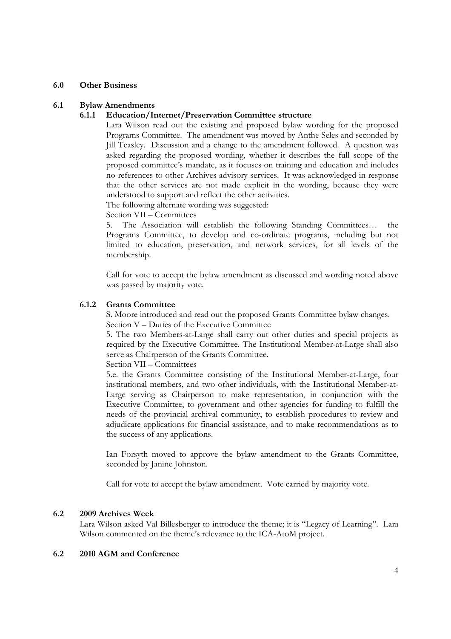#### **6.0 Other Business**

#### **6.1 Bylaw Amendments**

#### **6.1.1 Education/Internet/Preservation Committee structure**

Lara Wilson read out the existing and proposed bylaw wording for the proposed Programs Committee. The amendment was moved by Anthe Seles and seconded by Jill Teasley. Discussion and a change to the amendment followed. A question was asked regarding the proposed wording, whether it describes the full scope of the proposed committee's mandate, as it focuses on training and education and includes no references to other Archives advisory services. It was acknowledged in response that the other services are not made explicit in the wording, because they were understood to support and reflect the other activities.

The following alternate wording was suggested:

Section VII – Committees

5. The Association will establish the following Standing Committees… the Programs Committee, to develop and co-ordinate programs, including but not limited to education, preservation, and network services, for all levels of the membership.

Call for vote to accept the bylaw amendment as discussed and wording noted above was passed by majority vote.

#### **6.1.2 Grants Committee**

S. Moore introduced and read out the proposed Grants Committee bylaw changes. Section V – Duties of the Executive Committee

5. The two Members-at-Large shall carry out other duties and special projects as required by the Executive Committee. The Institutional Member-at-Large shall also serve as Chairperson of the Grants Committee.

Section VII – Committees

5.e. the Grants Committee consisting of the Institutional Member-at-Large, four institutional members, and two other individuals, with the Institutional Member-at-Large serving as Chairperson to make representation, in conjunction with the Executive Committee, to government and other agencies for funding to fulfill the needs of the provincial archival community, to establish procedures to review and adjudicate applications for financial assistance, and to make recommendations as to the success of any applications.

Ian Forsyth moved to approve the bylaw amendment to the Grants Committee, seconded by Janine Johnston.

Call for vote to accept the bylaw amendment. Vote carried by majority vote.

#### **6.2 2009 Archives Week**

Lara Wilson asked Val Billesberger to introduce the theme; it is "Legacy of Learning". Lara Wilson commented on the theme's relevance to the ICA-AtoM project.

#### **6.2 2010 AGM and Conference**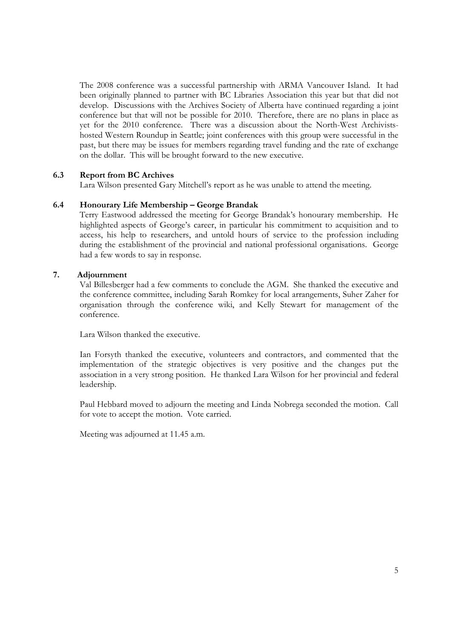The 2008 conference was a successful partnership with ARMA Vancouver Island. It had been originally planned to partner with BC Libraries Association this year but that did not develop. Discussions with the Archives Society of Alberta have continued regarding a joint conference but that will not be possible for 2010. Therefore, there are no plans in place as yet for the 2010 conference. There was a discussion about the North-West Archivistshosted Western Roundup in Seattle; joint conferences with this group were successful in the past, but there may be issues for members regarding travel funding and the rate of exchange on the dollar. This will be brought forward to the new executive.

#### **6.3 Report from BC Archives**

Lara Wilson presented Gary Mitchell's report as he was unable to attend the meeting.

#### **6.4 Honourary Life Membership – George Brandak**

Terry Eastwood addressed the meeting for George Brandak's honourary membership. He highlighted aspects of George's career, in particular his commitment to acquisition and to access, his help to researchers, and untold hours of service to the profession including during the establishment of the provincial and national professional organisations. George had a few words to say in response.

#### **7. Adjournment**

Val Billesberger had a few comments to conclude the AGM. She thanked the executive and the conference committee, including Sarah Romkey for local arrangements, Suher Zaher for organisation through the conference wiki, and Kelly Stewart for management of the conference.

Lara Wilson thanked the executive.

Ian Forsyth thanked the executive, volunteers and contractors, and commented that the implementation of the strategic objectives is very positive and the changes put the association in a very strong position. He thanked Lara Wilson for her provincial and federal leadership.

Paul Hebbard moved to adjourn the meeting and Linda Nobrega seconded the motion. Call for vote to accept the motion. Vote carried.

Meeting was adjourned at 11.45 a.m.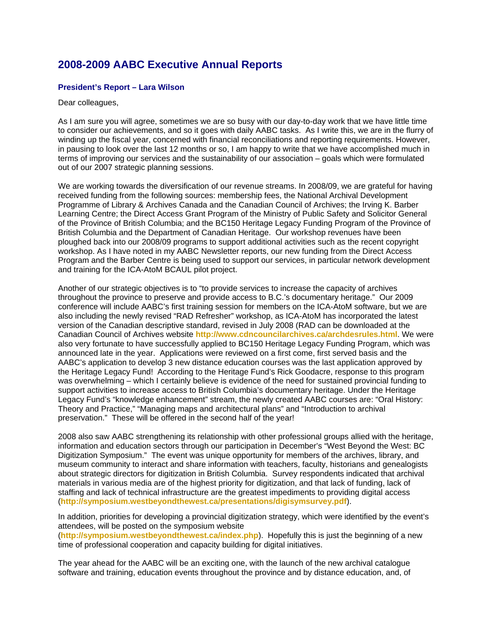# **2008-2009 AABC Executive Annual Reports**

#### **President's Report – Lara Wilson**

#### Dear colleagues,

As I am sure you will agree, sometimes we are so busy with our day-to-day work that we have little time to consider our achievements, and so it goes with daily AABC tasks. As I write this, we are in the flurry of winding up the fiscal year, concerned with financial reconciliations and reporting requirements. However, in pausing to look over the last 12 months or so, I am happy to write that we have accomplished much in terms of improving our services and the sustainability of our association – goals which were formulated out of our 2007 strategic planning sessions.

We are working towards the diversification of our revenue streams. In 2008/09, we are grateful for having received funding from the following sources: membership fees, the National Archival Development Programme of Library & Archives Canada and the Canadian Council of Archives; the Irving K. Barber Learning Centre; the Direct Access Grant Program of the Ministry of Public Safety and Solicitor General of the Province of British Columbia; and the BC150 Heritage Legacy Funding Program of the Province of British Columbia and the Department of Canadian Heritage. Our workshop revenues have been ploughed back into our 2008/09 programs to support additional activities such as the recent copyright workshop. As I have noted in my AABC Newsletter reports, our new funding from the Direct Access Program and the Barber Centre is being used to support our services, in particular network development and training for the ICA-AtoM BCAUL pilot project.

Another of our strategic objectives is to "to provide services to increase the capacity of archives throughout the province to preserve and provide access to B.C.'s documentary heritage." Our 2009 conference will include AABC's first training session for members on the ICA-AtoM software, but we are also including the newly revised "RAD Refresher" workshop, as ICA-AtoM has incorporated the latest version of the Canadian descriptive standard, revised in July 2008 (RAD can be downloaded at the Canadian Council of Archives website **http://www.cdncouncilarchives.ca/archdesrules.html**. We were also very fortunate to have successfully applied to BC150 Heritage Legacy Funding Program, which was announced late in the year. Applications were reviewed on a first come, first served basis and the AABC's application to develop 3 new distance education courses was the last application approved by the Heritage Legacy Fund! According to the Heritage Fund's Rick Goodacre, response to this program was overwhelming – which I certainly believe is evidence of the need for sustained provincial funding to support activities to increase access to British Columbia's documentary heritage. Under the Heritage Legacy Fund's "knowledge enhancement" stream, the newly created AABC courses are: "Oral History: Theory and Practice," "Managing maps and architectural plans" and "Introduction to archival preservation." These will be offered in the second half of the year!

2008 also saw AABC strengthening its relationship with other professional groups allied with the heritage, information and education sectors through our participation in December's "West Beyond the West: BC Digitization Symposium." The event was unique opportunity for members of the archives, library, and museum community to interact and share information with teachers, faculty, historians and genealogists about strategic directors for digitization in British Columbia. Survey respondents indicated that archival materials in various media are of the highest priority for digitization, and that lack of funding, lack of staffing and lack of technical infrastructure are the greatest impediments to providing digital access (**http://symposium.westbeyondthewest.ca/presentations/digisymsurvey.pdf**).

In addition, priorities for developing a provincial digitization strategy, which were identified by the event's attendees, will be posted on the symposium website (**http://symposium.westbeyondthewest.ca/index.php**). Hopefully this is just the beginning of a new time of professional cooperation and capacity building for digital initiatives.

The year ahead for the AABC will be an exciting one, with the launch of the new archival catalogue software and training, education events throughout the province and by distance education, and, of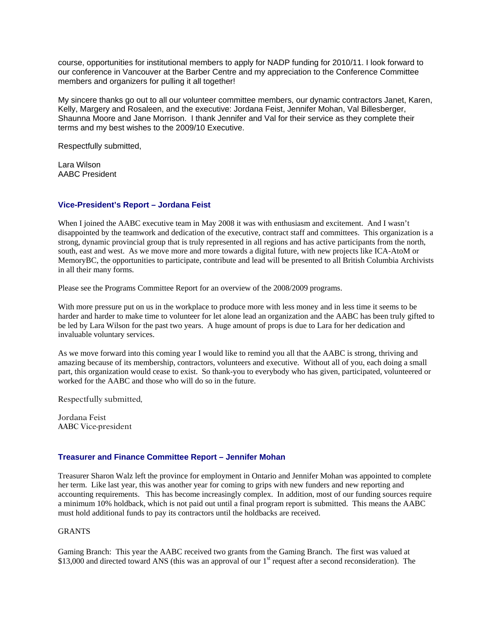course, opportunities for institutional members to apply for NADP funding for 2010/11. I look forward to our conference in Vancouver at the Barber Centre and my appreciation to the Conference Committee members and organizers for pulling it all together!

My sincere thanks go out to all our volunteer committee members, our dynamic contractors Janet, Karen, Kelly, Margery and Rosaleen, and the executive: Jordana Feist, Jennifer Mohan, Val Billesberger, Shaunna Moore and Jane Morrison. I thank Jennifer and Val for their service as they complete their terms and my best wishes to the 2009/10 Executive.

Respectfully submitted,

Lara Wilson AABC President

#### **Vice-President's Report – Jordana Feist**

When I joined the AABC executive team in May 2008 it was with enthusiasm and excitement. And I wasn't disappointed by the teamwork and dedication of the executive, contract staff and committees. This organization is a strong, dynamic provincial group that is truly represented in all regions and has active participants from the north, south, east and west. As we move more and more towards a digital future, with new projects like ICA-AtoM or MemoryBC, the opportunities to participate, contribute and lead will be presented to all British Columbia Archivists in all their many forms.

Please see the Programs Committee Report for an overview of the 2008/2009 programs.

With more pressure put on us in the workplace to produce more with less money and in less time it seems to be harder and harder to make time to volunteer for let alone lead an organization and the AABC has been truly gifted to be led by Lara Wilson for the past two years. A huge amount of props is due to Lara for her dedication and invaluable voluntary services.

As we move forward into this coming year I would like to remind you all that the AABC is strong, thriving and amazing because of its membership, contractors, volunteers and executive. Without all of you, each doing a small part, this organization would cease to exist. So thank-you to everybody who has given, participated, volunteered or worked for the AABC and those who will do so in the future.

Respectfully submitted,

Jordana Feist AABC Vice-president

#### **Treasurer and Finance Committee Report – Jennifer Mohan**

Treasurer Sharon Walz left the province for employment in Ontario and Jennifer Mohan was appointed to complete her term. Like last year, this was another year for coming to grips with new funders and new reporting and accounting requirements. This has become increasingly complex. In addition, most of our funding sources require a minimum 10% holdback, which is not paid out until a final program report is submitted. This means the AABC must hold additional funds to pay its contractors until the holdbacks are received.

#### GRANTS

Gaming Branch: This year the AABC received two grants from the Gaming Branch. The first was valued at \$13,000 and directed toward ANS (this was an approval of our  $1<sup>st</sup>$  request after a second reconsideration). The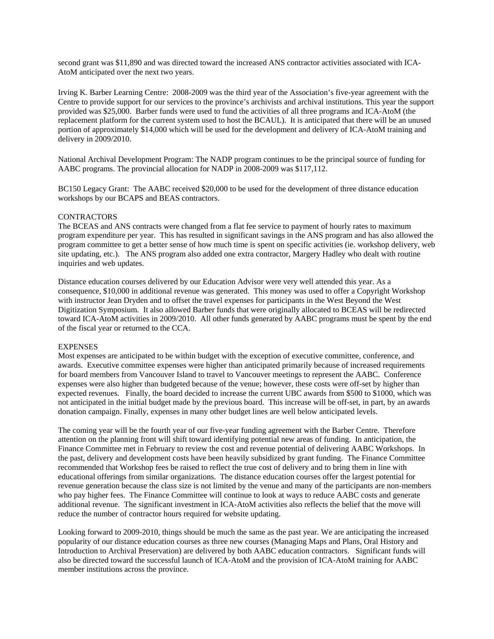second grant was \$11,890 and was directed toward the increased ANS contractor activities associated with ICA-AtoM anticipated over the next two years.

Irving K. Barber Learning Centre: 2008-2009 was the third year of the Association's five-year agreement with the Centre to provide support for our services to the province's archivists and archival institutions. This year the support provided was \$25,000. Barber funds were used to fund the activities of all three programs and ICA-AtoM (the replacement platform for the current system used to host the BCAUL). It is anticipated that there will be an unused portion of approximately \$14,000 which will be used for the development and delivery of ICA-AtoM training and delivery in 2009/2010.

National Archival Development Program: The NADP program continues to be the principal source of funding for AABC programs. The provincial allocation for NADP in 2008-2009 was \$117,112.

BC150 Legacy Grant: The AABC received \$20,000 to be used for the development of three distance education workshops by our BCAPS and BEAS contractors.

#### **CONTRACTORS**

The BCEAS and ANS contracts were changed from a flat fee service to payment of hourly rates to maximum program expenditure per year. This has resulted in significant savings in the ANS program and has also allowed the program committee to get a better sense of how much time is spent on specific activities (ie. workshop delivery, web site updating, etc.). The ANS program also added one extra contractor, Margery Hadley who dealt with routine inquiries and web updates.

Distance education courses delivered by our Education Advisor were very well attended this year. As a consequence, \$10,000 in additional revenue was generated. This money was used to offer a Copyright Workshop with instructor Jean Dryden and to offset the travel expenses for participants in the West Beyond the West Digitization Symposium. It also allowed Barber funds that were originally allocated to BCEAS will be redirected toward ICA-AtoM activities in 2009/2010. All other funds generated by AABC programs must be spent by the end of the fiscal year or returned to the CCA.

#### **EXPENSES**

Most expenses are anticipated to be within budget with the exception of executive committee, conference, and awards. Executive committee expenses were higher than anticipated primarily because of increased requirements for board members from Vancouver Island to travel to Vancouver meetings to represent the AABC. Conference expenses were also higher than budgeted because of the venue; however, these costs were off-set by higher than expected revenues. Finally, the board decided to increase the current UBC awards from \$500 to \$1000, which was not anticipated in the initial budget made by the previous board. This increase will be off-set, in part, by an awards donation campaign. Finally, expenses in many other budget lines are well below anticipated levels.

The coming year will be the fourth year of our five-year funding agreement with the Barber Centre. Therefore attention on the planning front will shift toward identifying potential new areas of funding. In anticipation, the Finance Committee met in February to review the cost and revenue potential of delivering AABC Workshops. In the past, delivery and development costs have been heavily subsidized by grant funding. The Finance Committee recommended that Workshop fees be raised to reflect the true cost of delivery and to bring them in line with educational offerings from similar organizations. The distance education courses offer the largest potential for revenue generation because the class size is not limited by the venue and many of the participants are non-members who pay higher fees. The Finance Committee will continue to look at ways to reduce AABC costs and generate additional revenue. The significant investment in ICA-AtoM activities also reflects the belief that the move will reduce the number of contractor hours required for website updating.

Looking forward to 2009-2010, things should be much the same as the past year. We are anticipating the increased popularity of our distance education courses as three new courses (Managing Maps and Plans, Oral History and Introduction to Archival Preservation) are delivered by both AABC education contractors. Significant funds will also be directed toward the successful launch of ICA-AtoM and the provision of ICA-AtoM training for AABC member institutions across the province.